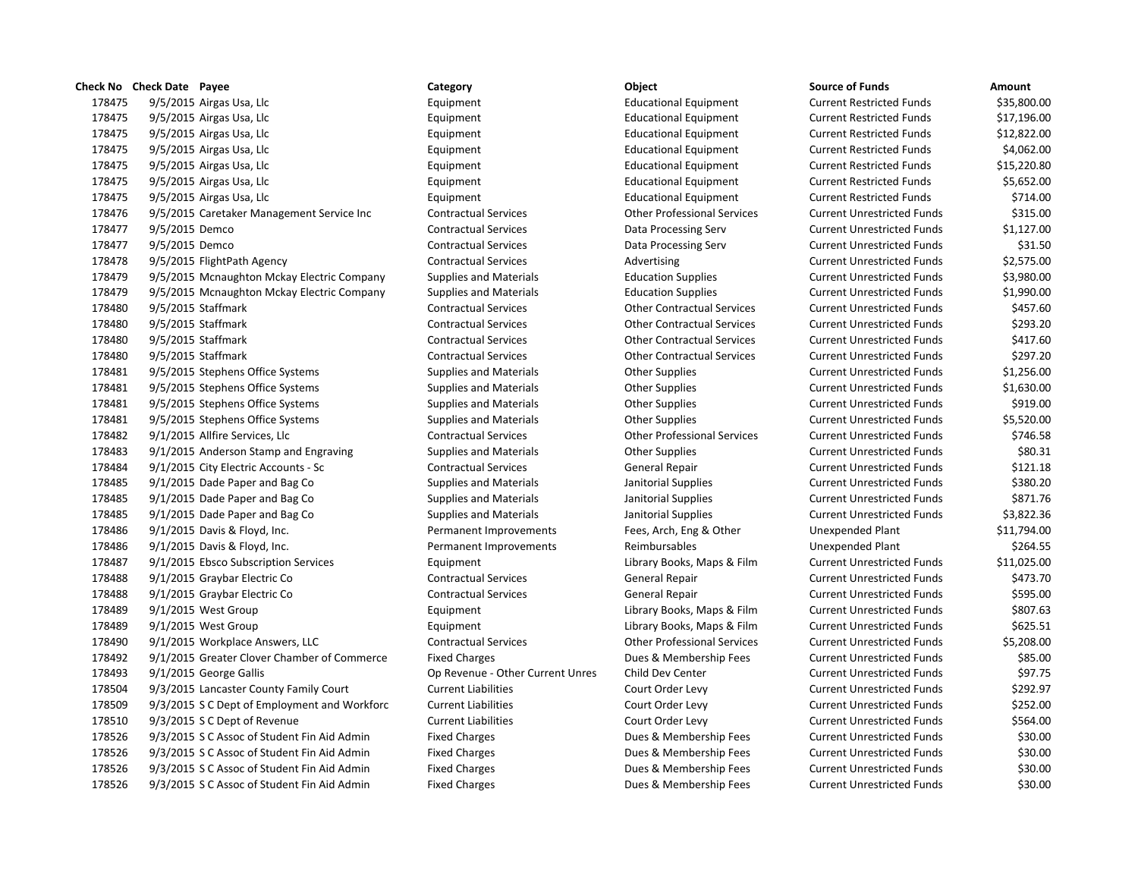|        | <b>Check No Check Date Payee</b>            |                                              | Category                         | Object                             | <b>Source of Funds</b>            | Amount  |
|--------|---------------------------------------------|----------------------------------------------|----------------------------------|------------------------------------|-----------------------------------|---------|
| 178475 | 9/5/2015 Airgas Usa, Llc                    |                                              | Equipment                        | <b>Educational Equipment</b>       | <b>Current Restricted Funds</b>   | \$35,80 |
| 178475 | 9/5/2015 Airgas Usa, Llc                    |                                              | Equipment                        | <b>Educational Equipment</b>       | <b>Current Restricted Funds</b>   | \$17,19 |
| 178475 | 9/5/2015 Airgas Usa, Llc                    |                                              | Equipment                        | <b>Educational Equipment</b>       | <b>Current Restricted Funds</b>   | \$12,82 |
| 178475 | 9/5/2015 Airgas Usa, Llc                    |                                              | Equipment                        | <b>Educational Equipment</b>       | <b>Current Restricted Funds</b>   | \$4,06  |
| 178475 | 9/5/2015 Airgas Usa, Llc                    |                                              | Equipment                        | <b>Educational Equipment</b>       | <b>Current Restricted Funds</b>   | \$15,22 |
| 178475 | 9/5/2015 Airgas Usa, Llc                    |                                              | Equipment                        | <b>Educational Equipment</b>       | <b>Current Restricted Funds</b>   | \$5,65  |
| 178475 | 9/5/2015 Airgas Usa, Llc                    |                                              | Equipment                        | <b>Educational Equipment</b>       | <b>Current Restricted Funds</b>   | \$71    |
| 178476 | 9/5/2015 Caretaker Management Service Inc   |                                              | <b>Contractual Services</b>      | <b>Other Professional Services</b> | <b>Current Unrestricted Funds</b> | \$31    |
| 178477 | 9/5/2015 Demco                              |                                              | <b>Contractual Services</b>      | Data Processing Serv               | <b>Current Unrestricted Funds</b> | \$1,12  |
| 178477 | 9/5/2015 Demco                              |                                              | <b>Contractual Services</b>      | Data Processing Serv               | <b>Current Unrestricted Funds</b> | \$3     |
| 178478 | 9/5/2015 FlightPath Agency                  |                                              | <b>Contractual Services</b>      | Advertising                        | <b>Current Unrestricted Funds</b> | \$2,57  |
| 178479 |                                             | 9/5/2015 Mcnaughton Mckay Electric Company   | <b>Supplies and Materials</b>    | <b>Education Supplies</b>          | <b>Current Unrestricted Funds</b> | \$3,98  |
| 178479 |                                             | 9/5/2015 Mcnaughton Mckay Electric Company   | Supplies and Materials           | <b>Education Supplies</b>          | <b>Current Unrestricted Funds</b> | \$1,99  |
| 178480 | 9/5/2015 Staffmark                          |                                              | <b>Contractual Services</b>      | <b>Other Contractual Services</b>  | <b>Current Unrestricted Funds</b> | \$45    |
| 178480 | 9/5/2015 Staffmark                          |                                              | <b>Contractual Services</b>      | <b>Other Contractual Services</b>  | <b>Current Unrestricted Funds</b> | \$29    |
| 178480 | 9/5/2015 Staffmark                          |                                              | <b>Contractual Services</b>      | <b>Other Contractual Services</b>  | <b>Current Unrestricted Funds</b> | \$41    |
| 178480 | 9/5/2015 Staffmark                          |                                              | <b>Contractual Services</b>      | <b>Other Contractual Services</b>  | <b>Current Unrestricted Funds</b> | \$29    |
| 178481 | 9/5/2015 Stephens Office Systems            |                                              | Supplies and Materials           | <b>Other Supplies</b>              | <b>Current Unrestricted Funds</b> | \$1,25  |
| 178481 | 9/5/2015 Stephens Office Systems            |                                              | Supplies and Materials           | <b>Other Supplies</b>              | <b>Current Unrestricted Funds</b> | \$1,63  |
| 178481 | 9/5/2015 Stephens Office Systems            |                                              | Supplies and Materials           | <b>Other Supplies</b>              | <b>Current Unrestricted Funds</b> | \$91    |
| 178481 | 9/5/2015 Stephens Office Systems            |                                              | Supplies and Materials           | <b>Other Supplies</b>              | <b>Current Unrestricted Funds</b> | \$5,52  |
| 178482 | 9/1/2015 Allfire Services, Llc              |                                              | <b>Contractual Services</b>      | <b>Other Professional Services</b> | <b>Current Unrestricted Funds</b> | \$74    |
| 178483 | 9/1/2015 Anderson Stamp and Engraving       |                                              | Supplies and Materials           | <b>Other Supplies</b>              | <b>Current Unrestricted Funds</b> | \$8     |
| 178484 | 9/1/2015 City Electric Accounts - Sc        |                                              | <b>Contractual Services</b>      | General Repair                     | <b>Current Unrestricted Funds</b> | \$12    |
| 178485 | 9/1/2015 Dade Paper and Bag Co              |                                              | <b>Supplies and Materials</b>    | Janitorial Supplies                | <b>Current Unrestricted Funds</b> | \$38    |
| 178485 | 9/1/2015 Dade Paper and Bag Co              |                                              | Supplies and Materials           | Janitorial Supplies                | <b>Current Unrestricted Funds</b> | \$87    |
| 178485 | 9/1/2015 Dade Paper and Bag Co              |                                              | <b>Supplies and Materials</b>    | Janitorial Supplies                | <b>Current Unrestricted Funds</b> | \$3,82  |
| 178486 | 9/1/2015 Davis & Floyd, Inc.                |                                              | Permanent Improvements           | Fees, Arch, Eng & Other            | Unexpended Plant                  | \$11,79 |
| 178486 | 9/1/2015 Davis & Floyd, Inc.                |                                              | Permanent Improvements           | Reimbursables                      | Unexpended Plant                  | \$26    |
| 178487 | 9/1/2015 Ebsco Subscription Services        |                                              | Equipment                        | Library Books, Maps & Film         | <b>Current Unrestricted Funds</b> | \$11,02 |
| 178488 | 9/1/2015 Graybar Electric Co                |                                              | <b>Contractual Services</b>      | General Repair                     | <b>Current Unrestricted Funds</b> | \$47    |
| 178488 | 9/1/2015 Graybar Electric Co                |                                              | <b>Contractual Services</b>      | General Repair                     | <b>Current Unrestricted Funds</b> | \$59    |
| 178489 | 9/1/2015 West Group                         |                                              | Equipment                        | Library Books, Maps & Film         | <b>Current Unrestricted Funds</b> | \$80    |
| 178489 | $9/1/2015$ West Group                       |                                              | Equipment                        | Library Books, Maps & Film         | <b>Current Unrestricted Funds</b> | \$62    |
| 178490 | 9/1/2015 Workplace Answers, LLC             |                                              | <b>Contractual Services</b>      | <b>Other Professional Services</b> | <b>Current Unrestricted Funds</b> | \$5,20  |
| 178492 |                                             | 9/1/2015 Greater Clover Chamber of Commerce  | <b>Fixed Charges</b>             | Dues & Membership Fees             | <b>Current Unrestricted Funds</b> | \$8     |
| 178493 | 9/1/2015 George Gallis                      |                                              | Op Revenue - Other Current Unres | Child Dev Center                   | <b>Current Unrestricted Funds</b> | \$9     |
| 178504 | 9/3/2015 Lancaster County Family Court      |                                              | <b>Current Liabilities</b>       | Court Order Levy                   | <b>Current Unrestricted Funds</b> | \$29    |
| 178509 |                                             | 9/3/2015 S C Dept of Employment and Workforc | <b>Current Liabilities</b>       | Court Order Levy                   | <b>Current Unrestricted Funds</b> | \$25    |
| 178510 | 9/3/2015 S C Dept of Revenue                |                                              | <b>Current Liabilities</b>       | Court Order Levy                   | <b>Current Unrestricted Funds</b> | \$56    |
| 178526 | 9/3/2015 S C Assoc of Student Fin Aid Admin |                                              | <b>Fixed Charges</b>             | Dues & Membership Fees             | <b>Current Unrestricted Funds</b> | \$3     |
| 178526 | 9/3/2015 S C Assoc of Student Fin Aid Admin |                                              | <b>Fixed Charges</b>             | Dues & Membership Fees             | <b>Current Unrestricted Funds</b> | \$3     |
| 178526 | 9/3/2015 S C Assoc of Student Fin Aid Admin |                                              | <b>Fixed Charges</b>             | Dues & Membership Fees             | <b>Current Unrestricted Funds</b> | \$3     |
| 178526 | 9/3/2015 S C Assoc of Student Fin Aid Admin |                                              | <b>Fixed Charges</b>             | Dues & Membership Fees             | <b>Current Unrestricted Funds</b> | \$3     |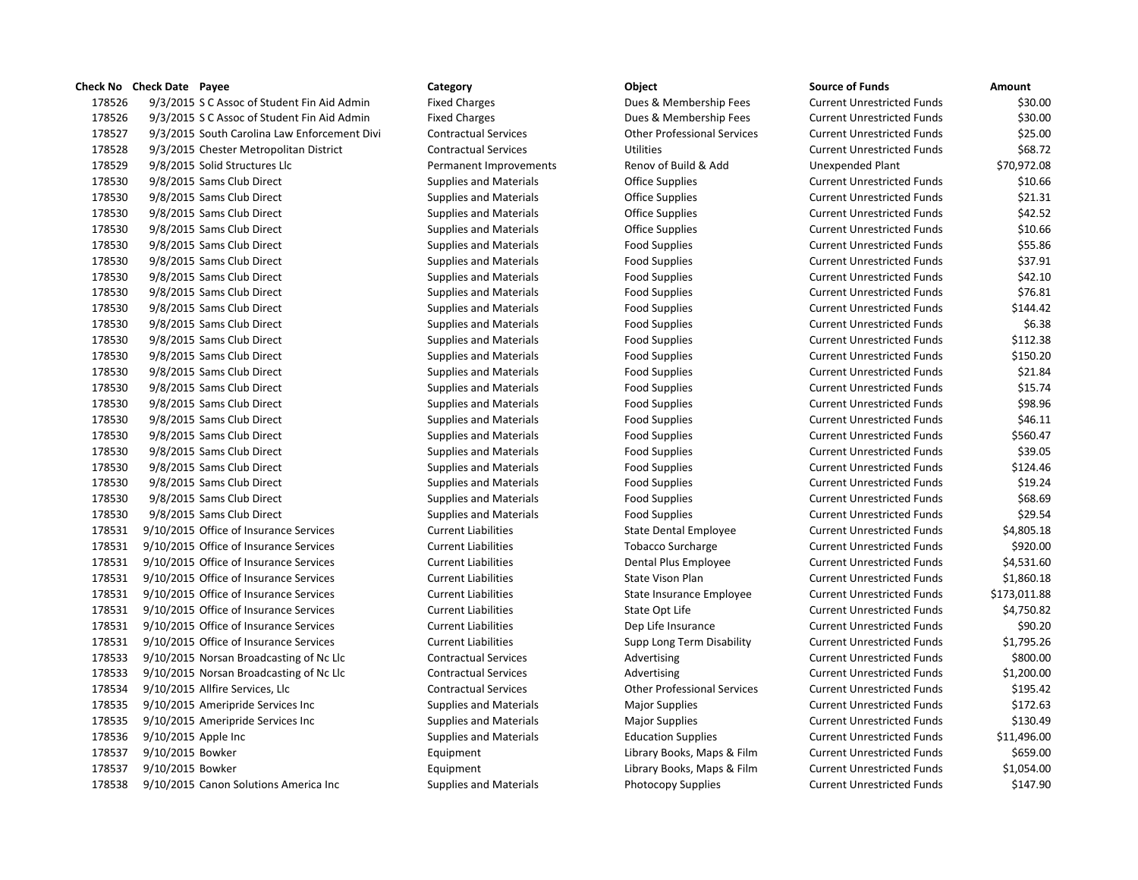## **Check No Check Date Payee Category Category Category Category Category Category Category Category Category Category Category Category Category Category Category Category Category Ca**

178526 9/3/2015 S C Assoc of Student Fin Aid Admin Fixed Charges Dues & Membership Fees Current Unrestricted Funds \$30.00 178526 9/3/2015 S C Assoc of Student Fin Aid Admin Fixed Charges Fixed Charges Dues & Membership Fees Current Cu 178527 9/3/2015 South Carolina Law Enforcement Divi Contractual Services Current Professional Services Current 178528 9/3/2015 Chester Metropolitan District Contractual Services Utilities Utilities Contractual Services 178529 9/8/2015 Solid Structures Llc **Permanent Improvements** Renov of Build & Add Unexpended Plant & L 178530 9/8/2015 Sams Club Direct Supplies and Materials Current Current Current Current Current Current Current Current Current Current Current Current Current Current Current Current Current Current Current Current Curren 178530 9/8/2015 Sams Club Direct Supplies and Materials Current Current Current Current Current Current Current Current Current Current Current Current Current Current Current Current Current Current Current Current Curren 178530 9/8/2015 Sams Club Direct Supplies and Materials Current Office Supplies Current Current Current Current Current Current Current Current Office Supplies Current Current Current Current Current Current Current Curren 178530 9/8/2015 Sams Club Direct Supplies and Materials Current Office Supplies Current Current Current Current Current Current Current Current Current Current Current Current Current Current Current Current Current Curren 178530 9/8/2015 Sams Club Direct Supplies and Materials Food Supplies Food Supplies Current Current Current Cu 178530 9/8/2015 Sams Club Direct Supplies and Materials Food Supplies Food Supplies Current Current Current Cu 178530 9/8/2015 Sams Club Direct Supplies and Materials Food Supplies Food Supplies Current Current Current Cu 178530 9/8/2015 Sams Club Direct Supplies and Materials Food Supplies Food Supplies Current Current Current Cu 178530 9/8/2015 Sams Club Direct Supplies and Materials Food Supplies Food Supplies Current Current Current Cu 178530 9/8/2015 Sams Club Direct Supplies and Materials Food Supplies Food Supplies Current Unrestricted Current Current Current Current Current Current Current Current Current Current Current Current Current Current Curre 178530 9/8/2015 Sams Club Direct Supplies and Materials Food Supplies Food Supplies Current Current Current Cu 178530 9/8/2015 Sams Club Direct Supplies and Materials Food Supplies Food Supplies Current Current Current Cu 178530 9/8/2015 Sams Club Direct Supplies and Materials Food Supplies Food Supplies Current Current Current Cu 178530 9/8/2015 Sams Club Direct Supplies and Materials Food Supplies Food Supplies Current Current Current Cu 178530 9/8/2015 Sams Club Direct Supplies and Materials Food Supplies Food Supplies Current Current Current Cu 178530 9/8/2015 Sams Club Direct Supplies and Materials Food Supplies Food Supplies Current Current Current Cu 178530 9/8/2015 Sams Club Direct Supplies and Materials Food Supplies Food Supplies Current Current Current Cu 178530 9/8/2015 Sams Club Direct Supplies and Materials Food Supplies Food Supplies Food Supplies Current Current Cu 178530 9/8/2015 Sams Club Direct Supplies and Materials Food Supplies Food Supplies Food Supplies Current Current Current Current Current Current Current Current Current Current Current Current Current Current Current Curr 178530 9/8/2015 Sams Club Direct Supplies Automaterials Food Supplies Automaterials Food Supplies Current Current Cu 178530 9/8/2015 Sams Club Direct Supplies and Materials Food Supplies Food Supplies Current Current Current Cu 178530 9/8/2015 Sams Club Direct Supplies and Materials Food Supplies Food Supplies Current Current Current Cu 178531 9/10/2015 Office of Insurance Services Current Liabilities State Dental Employee Current Liabilities 178531 9/10/2015 Office of Insurance Services Current Liabilities Tobacco Surcharge Current Liabilities 178531 9/10/2015 Office of Insurance Services Current Liabilities Dental Plus Employee Current Liabilities 178531 9/10/2015 Office of Insurance Services Current Liabilities State Vison Plan Current Liabilities Current Liabilities 178531 9/10/2015 Office of Insurance Services Current Liabilities State Insurance Employee Current Liabilities 178531 9/10/2015 Office of Insurance Services Current Liabilities State Opt Life Current Liabilities 178531 9/10/2015 Office of Insurance Services Current Liabilities Dep Life Insurance Current Liabilities Current Liabilities 178531 9/10/2015 Office of Insurance Services Current Liabilities Supp Long Term Disability Current Liabilities 178533 9/10/2015 Norsan Broadcasting of Nc Llc Contractual Services Advertising Advertising Current Current Cu 178533 9/10/2015 Norsan Broadcasting of Nc Llc Contractual Services Advertising Advertising Current Current Cu 178534 9/10/2015 Allfire Services, Llc Contractual Services Contractual Services Current Unrestricted Funds #1 178535 9/10/2015 Ameripride Services Inc Supplies and Materials Major Supplies Magnet Unrestricted Funds & Cu 178535 9/10/2015 Ameripride Services Inc Supplies and Materials Major Supplies Major Supplies Current Current Cu 178536 9/10/2015 Apple Inc Supplies and Materials Education Supplies Current Unrestricted Funds \$11,496.00 178537 9/10/2015 Bowker **Equipment** Equipment Library Books, Maps & Film Current Current Current Current Funds \$65 178537 9/10/2015 Bowker **Equipment** Equipment Library Books, Maps & Film Current Current Current Automobile Funds & Film Current Automobile Funds \$1,000 Equipment Automobile Funds \$1,000 Equipment Automobile Funds \$1,000 E 178538 9/10/2015 Canon Solutions America Inc Supplies and Materials Photocopy Supplies Current Current Current Cu

| ource of Funds             | Amount       |
|----------------------------|--------------|
| Current Unrestricted Funds | \$30.00      |
| Current Unrestricted Funds | \$30.00      |
| Current Unrestricted Funds | \$25.00      |
| urrent Unrestricted Funds: | \$68.72      |
| <b>Jnexpended Plant</b>    | \$70,972.08  |
| Current Unrestricted Funds | \$10.66      |
| Current Unrestricted Funds | \$21.31      |
| urrent Unrestricted Funds  | \$42.52      |
| Current Unrestricted Funds | \$10.66      |
| Current Unrestricted Funds | \$55.86      |
| Current Unrestricted Funds | \$37.91      |
| Current Unrestricted Funds | \$42.10      |
| urrent Unrestricted Funds  | \$76.81      |
| Current Unrestricted Funds | \$144.42     |
| Current Unrestricted Funds | \$6.38       |
| Current Unrestricted Funds | \$112.38     |
| urrent Unrestricted Funds  | \$150.20     |
| Current Unrestricted Funds | \$21.84      |
| Current Unrestricted Funds | \$15.74      |
| urrent Unrestricted Funds  | \$98.96      |
| Current Unrestricted Funds | \$46.11      |
| Current Unrestricted Funds | \$560.47     |
| urrent Unrestricted Funds  | \$39.05      |
| Current Unrestricted Funds | \$124.46     |
| urrent Unrestricted Funds  | \$19.24      |
| Current Unrestricted Funds | \$68.69      |
| Current Unrestricted Funds | \$29.54      |
| Current Unrestricted Funds | \$4,805.18   |
| urrent Unrestricted Funds  | \$920.00     |
| Current Unrestricted Funds | \$4,531.60   |
| Current Unrestricted Funds | \$1,860.18   |
| urrent Unrestricted Funds  | \$173,011.88 |
| Current Unrestricted Funds | \$4,750.82   |
| urrent Unrestricted Funds  | \$90.20      |
| urrent Unrestricted Funds  | \$1,795.26   |
| urrent Unrestricted Funds  | \$800.00     |
| Current Unrestricted Funds | \$1,200.00   |
| urrent Unrestricted Funds  | \$195.42     |
| urrent Unrestricted Funds  | \$172.63     |
| Current Unrestricted Funds | \$130.49     |
| Current Unrestricted Funds | \$11,496.00  |
| urrent Unrestricted Funds  | \$659.00     |
| urrent Unrestricted Funds  | \$1,054.00   |
| urrent Unrestricted Funds. | \$147.90     |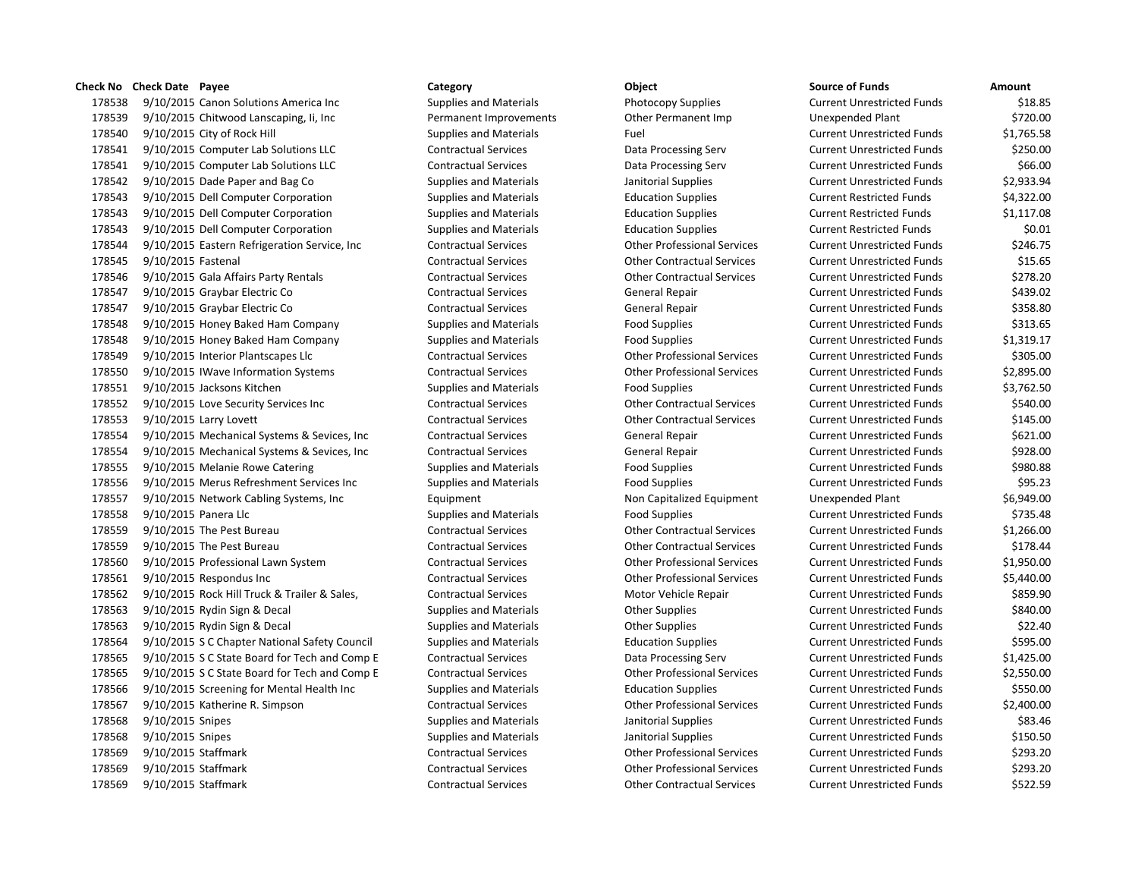## **Check No Check Date Payee Category Object Source of Funds Amount**

178538 9/10/2015 Canon Solutions America Inc Supplies and Materials Photocopy Supplies Current Unrestricted Funds America Inc 178539 9/10/2015 Chitwood Lanscaping, Ii, Inc Permanent Improvements Other Permanent Imp 178540 9/10/2015 City of Rock Hill Supplies and Materials Fuel Current Current Current Current Current Current Current Current Association of the Current Current Current Current Current Current Current Current Current Curr 178541 9/10/2015 Computer Lab Solutions LLC Contractual Services Data Processing Serv 178541 9/10/2015 Computer Lab Solutions LLC Contractual Services Data Processing Serv 178542 9/10/2015 Dade Paper and Bag Co Supplies and Materials Janitorial Supplies 178543 9/10/2015 Dell Computer Corporation Supplies and Materials Education Supplies 178543 9/10/2015 Dell Computer Corporation Supplies and Materials Education Supplies 178543 9/10/2015 Dell Computer Corporation Supplies and Materials Education Supplies 178544 9/10/2015 Eastern Refrigeration Service, Inc Contractual Services Other Professional Services Current Unrestricted Funds \$246.75 178545 9/10/2015 Fastenal Contractual Services Contractual Services Current Contractual Services 178546 9/10/2015 Gala Affairs Party Rentals Contractual Services Other Contractual Services 178547 9/10/2015 Graybar Electric Co Contractual Services General Repair 178547 9/10/2015 Graybar Electric Co Contractual Services General Repair 178548 9/10/2015 Honey Baked Ham Company Supplies and Materials Food Supplies 178548 9/10/2015 Honey Baked Ham Company Supplies and Materials Food Supplies 178549 9/10/2015 Interior Plantscapes Llc Contractual Services Other Professional Services 178550 9/10/2015 IWave Information Systems Contractual Services Current Contractual Services Current Unrestricted Funds \$2,895.000 Current Unrestricted Funds \$2,895.000 Current Unrestricted Funds \$2,895.000 Current Unrestr 178551 9/10/2015 Jacksons Kitchen Supplies and Materials Food Supplies and Materials 178552 9/10/2015 Love Security Services Inc Contractual Services Current Contractual Services Current Unrestricted Funds \$540.000 Current Units \$540.000 Current Units \$540.000 Current Units \$540.000 Current Units \$540.000 178553 9/10/2015 Larry Lovett Contractual Services Contractual Services Current Current Current Unrestricted Funds \$145.000 Contractual Services Current Current Current Austricted Funds \$145.000 Contractual Services Curren 178554 9/10/2015 Mechanical Systems & Sevices, Inc Contractual Services General Repair 178554 9/10/2015 Mechanical Systems & Sevices, Inc Contractual Services General Repair 178555 9/10/2015 Melanie Rowe Catering Supplies Supplies and Materials Food Supplies 178556 9/10/2015 Merus Refreshment Services Inc Supplies and Materials Food Supplies 178557 9/10/2015 Network Cabling Systems, Inc Equipment Equipment Non Capitalized Equipment 178558 9/10/2015 Panera Llc Supplies and Materials Food Supplies Current Unrestricted Funds \$735.48 178559 9/10/2015 The Pest Bureau Contractual Services Contractual Services Current Unrestricted Funds \$1,266.000 178559 9/10/2015 The Pest Bureau Contractual Services Contractual Services Current Current Unrestricted Funds 178560 9/10/2015 Professional Lawn System Contractual Services Other Professional Services 178561 9/10/2015 Respondus Inc Contractual Services Other Professional Services 178562 9/10/2015 Rock Hill Truck & Trailer & Sales, Contractual Services Motor Vehicle Repair 178563 9/10/2015 Rydin Sign & Decal Supplies and Materials Current Current Current Unrestricted Funds \$840.000 178563 9/10/2015 Rydin Sign & Decal Supplies and Materials Current Current Current Current Unrestricted Funds 178564 9/10/2015 S C Chapter National Safety Council Supplies and Materials Education Supplies 178565 9/10/2015 S C State Board for Tech and Comp E Contractual Services Data Processing Serv 178565 9/10/2015 S C State Board for Tech and Comp E Contractual Services Other Professional Services Current Unrestricted Funds \$2,550.00 178566 9/10/2015 Screening for Mental Health Inc Supplies and Materials Education Supplies 178567 9/10/2015 Katherine R. Simpson Contractual Services Current Current Current Current Unrestricted Funds 178568 9/10/2015 Snipes Supplies Supplies and Materials Janitorial Supplies Current Unrestricted Funds \$83.46 178568 9/10/2015 Snipes Supplies Supplies and Materials Janitorial Supplies Current Unrestricted Funds \$150.50 178569 9/10/2015 Staffmark Contractual Services Contractual Services Other Professional Services 178569 9/10/2015 Staffmark Contractual Services Other Professional Services Current Unrestricted Funds \$293.20 178569 9/10/2015 Staffmark Contractual Services Other Contractual Services Current Unrestricted Funds \$522.59

| source or runus            | Amount     |
|----------------------------|------------|
| Current Unrestricted Funds | \$18.85    |
| <b>Jnexpended Plant</b>    | \$720.00   |
| Current Unrestricted Funds | \$1,765.58 |
| Current Unrestricted Funds | \$250.00   |
| Current Unrestricted Funds | \$66.00    |
| Current Unrestricted Funds | \$2,933.94 |
| Current Restricted Funds   | \$4,322.00 |
| Current Restricted Funds   | \$1,117.08 |
| Current Restricted Funds   | \$0.01     |
| Current Unrestricted Funds | \$246.75   |
| Current Unrestricted Funds | \$15.65    |
| Current Unrestricted Funds | \$278.20   |
| Current Unrestricted Funds | \$439.02   |
| Current Unrestricted Funds | \$358.80   |
| Current Unrestricted Funds | \$313.65   |
| Current Unrestricted Funds | \$1,319.17 |
| Current Unrestricted Funds | \$305.00   |
| Current Unrestricted Funds | \$2,895.00 |
| Current Unrestricted Funds | \$3,762.50 |
| Current Unrestricted Funds | \$540.00   |
| Current Unrestricted Funds | \$145.00   |
| Current Unrestricted Funds | \$621.00   |
| Current Unrestricted Funds | \$928.00   |
| Current Unrestricted Funds | \$980.88   |
| Current Unrestricted Funds | \$95.23    |
| <b>Jnexpended Plant</b>    | \$6,949.00 |
| Current Unrestricted Funds | \$735.48   |
| Current Unrestricted Funds | \$1,266.00 |
| Current Unrestricted Funds | \$178.44   |
| Current Unrestricted Funds | \$1,950.00 |
| Current Unrestricted Funds | \$5,440.00 |
| Current Unrestricted Funds | \$859.90   |
| Current Unrestricted Funds | \$840.00   |
| Current Unrestricted Funds | \$22.40    |
| Current Unrestricted Funds | \$595.00   |
| Current Unrestricted Funds | \$1,425.00 |
| Current Unrestricted Funds | \$2,550.00 |
| Current Unrestricted Funds | \$550.00   |
| Current Unrestricted Funds | \$2,400.00 |
| Current Unrestricted Funds | \$83.46    |
| Current Unrestricted Funds | \$150.50   |
| Current Unrestricted Funds | \$293.20   |
| Current Unrestricted Funds | \$293.20   |
| Curront Unroctrictod Eunde | ぐこつつ この    |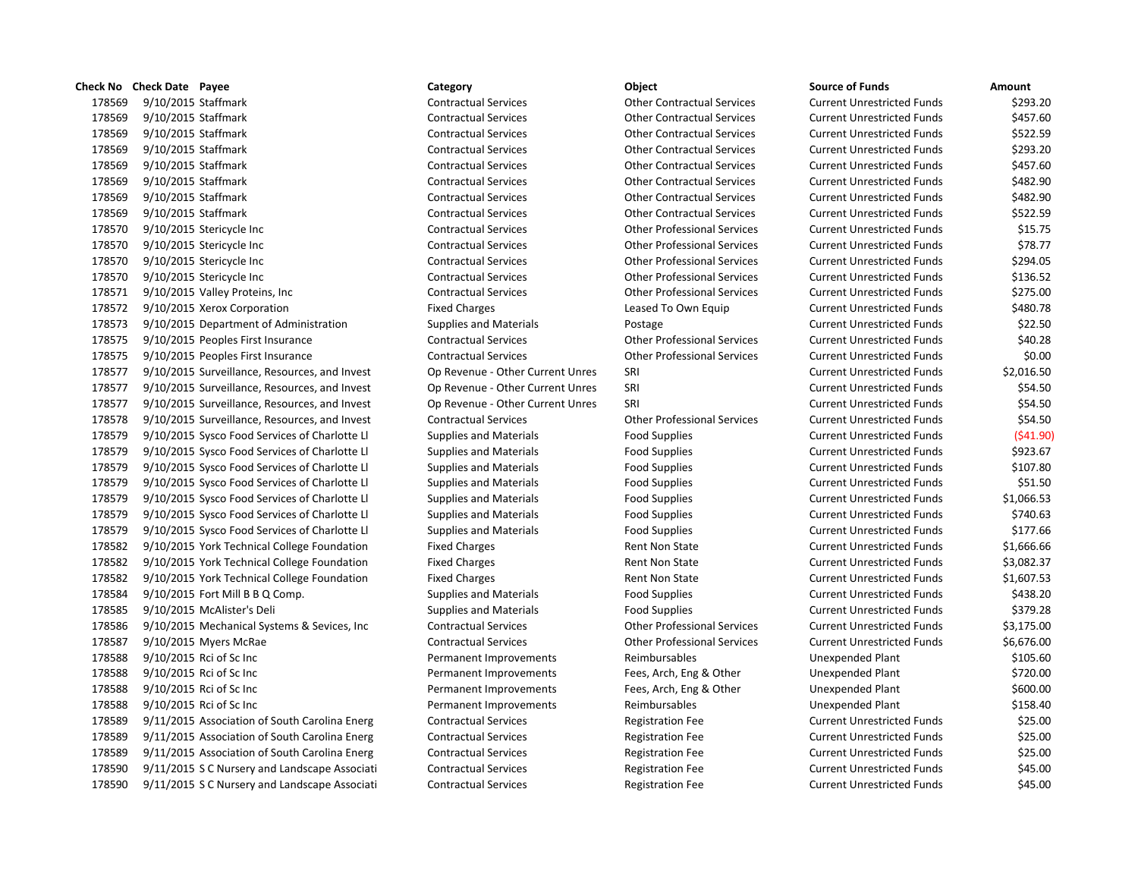**Check No Check Date Payee Category Category Category Object Check No Check Date Amount** 178569 9/10/2015 Staffmark Contractual Services Other Contractual Services Current Unrestricted Funds \$293.20 178569 9/10/2015 Staffmark Contractual Services Other Contractual Services Current Unrestricted Funds \$457.60 178569 9/10/2015 Staffmark Contractual Services Current Contractual Services Current Unit Unit Unit Unrestricted Funds \$522.50 178569 9/10/2015 Staffmark Contractual Services Other Contractual Services Current Unrestricted Funds \$293.20 178569 9/10/2015 Staffmark Contractual Services Other Contractual Services Current Unrestricted Funds \$457.60 178569 9/10/2015 Staffmark Contractual Services Current Contractual Services Current Unit Unit Unrestricted Funds \$482.900 Contractual Services Current Current Current Current Current Services Current Current Services Curr 178569 9/10/2015 Staffmark Contractual Services Other Contractual Services Current Unrestricted Funds \$482.90 178569 9/10/2015 Staffmark Contractual Services Current Contractual Services Current United Turrent Unrestricted Funds \$522.500 Current United Funds \$522.500 Current United Funds \$522.500 Current United Services Current St 178570 9/10/2015 Stericycle Inc Contractual Services Current Contractual Services Current Unrestricted Funds \$15 178570 9/10/2015 Stericycle Inc Contractual Services Other Professional Services Current Unrestricted Funds \$78.77 178570 9/10/2015 Stericycle Inc Contractual Services Current Contractual Services Current Unrestricted Funds \$2 178570 9/10/2015 Stericycle Inc Contractual Services Current Contractual Services Current Unrestricted Funds \$136.52 178571 9/10/2015 Valley Proteins, Inc Contractual Services Current Contractual Services Current Unrestricted Funds \$275.000 Current Unrestricted Funds \$275.000 Current Units \$275.000 Current Units \$275.000 Current Units \$2 178572 9/10/2015 Xerox Corporation **Fixed Charges** Fixed Charges Leased To Own Equip Current Current Current Curre 178573 9/10/2015 Department of Administration Supplies and Materials Postage Postage Curre 178575 9/10/2015 Peoples First Insurance Contractual Services Contractual Services Current Professional Services Curre 178575 9/10/2015 Peoples First Insurance Contractual Services Current Contractual Services Current Unit Unrest 178577 9/10/2015 Surveillance, Resources, and Invest Op Revenue - Other Current Unres SRI Current Onrestricted Funds 178577 9/10/2015 Surveillance, Resources, and Invest Op Revenue - Other Current Unres SRI Current Onestricken 178577 9/10/2015 Surveillance, Resources, and Invest Op Revenue - Other Current Unres SRI Current Onrestricted Funds 178578 9/10/2015 Surveillance, Resources, and Invest Contractual Services Current Other Professional Services Curre 178579 9/10/2015 Sysco Food Services of Charlotte Ll Supplies and Materials Food Supplies Current Current Curre 178579 9/10/2015 Sysco Food Services of Charlotte Ll Supplies and Materials Food Supplies Food Supplies 178579 9/10/2015 Sysco Food Services of Charlotte Ll Supplies and Materials Food Supplies Food Supplies Curre 178579 9/10/2015 Sysco Food Services of Charlotte Ll Supplies and Materials Food Supplies Food Supplies Curre 178579 9/10/2015 Sysco Food Services of Charlotte Ll Supplies and Materials Food Supplies Food Supplies Curre 178579 9/10/2015 Sysco Food Services of Charlotte Ll Supplies and Materials Food Supplies Food Supplies Curre 178579 9/10/2015 Sysco Food Services of Charlotte Ll Supplies and Materials Food Supplies Food Supplies 178582 9/10/2015 York Technical College Foundation Fixed Charges Funds 81,666.666.666.666.666.666.666.666.666.6 178582 9/10/2015 York Technical College Foundation Fixed Charges Funds 8,082.37 Rent Non State Current Current Current Austricted Funds \$3,000 Rent Non State 178582 9/10/2015 York Technical College Foundation Fixed Charges Funds 81,607.533. Rent Non State Funds \$1,607.5 178584 9/10/2015 Fort Mill B B Q Comp. Supplies and Materials Food Supplies Food Supplies Current Current Curre 178585 9/10/2015 McAlister's Deli Supplies and Materials Food Supplies Current Unrestricted Funds \$379.28 178586 9/10/2015 Mechanical Systems & Sevices, Inc Contractual Services Current Current Current Current Current Current Current Current Current Unrestricted Funds \$3,175.000 Current Professional Services Current Current St 178587 9/10/2015 Myers McRae Current Contractual Services Current Contractual Services Current Unrestricted Funds \$6,676.000 Current United Funds \$6,676.000 Current Unrestricted Funds \$6,676.000 Current United Funds \$6,676 178588 9/10/2015 Rci of Sc Inc **Permanent Improvements** Reimbursables Unex 178588 9/10/2015 Rci of Sc Inc Permanent Improvements Fees, Arch, Eng & Other Unex 178588 9/10/2015 Rci of Sc Inc Permanent Improvements Fees, Arch, Eng & Other Unex 178588 9/10/2015 Rci of Sc Inc Note 2014 Reimbursables Reimbursables Permanent Improvements Reimbursables Plant & Unex 178589 9/11/2015 Association of South Carolina Energ Contractual Services Registration Fee Current Current Curr 178589 9/11/2015 Association of South Carolina Energ Contractual Services Registration Fee Current Current Curre 178589 9/11/2015 Association of South Carolina Energ Contractual Services Registration Fee Current Current Curre 178590 9/11/2015 S C Nursery and Landscape Associati Contractual Services Registration Fee Current Current Curre 178590 9/11/2015 S C Nursery and Landscape Associati Contractual Services Registration Fee Current Unrestricted Funds \$45.00

| ent Unrestricted Funds | \$522.59      |
|------------------------|---------------|
| ent Unrestricted Funds | \$293.20      |
| ent Unrestricted Funds | \$457.60      |
| ent Unrestricted Funds | \$482.90      |
| ent Unrestricted Funds | \$482.90      |
| ent Unrestricted Funds | \$522.59      |
| ent Unrestricted Funds | \$15.75       |
| ent Unrestricted Funds | \$78.77       |
| ent Unrestricted Funds | \$294.05      |
| ent Unrestricted Funds | \$136.52      |
| ent Unrestricted Funds | \$275.00      |
| ent Unrestricted Funds | \$480.78      |
| ent Unrestricted Funds | \$22.50       |
| ent Unrestricted Funds | \$40.28       |
| ent Unrestricted Funds | \$0.00        |
| ent Unrestricted Funds | \$2,016.50    |
| ent Unrestricted Funds | \$54.50       |
| ent Unrestricted Funds | \$54.50       |
| ent Unrestricted Funds | \$54.50       |
| ent Unrestricted Funds | ( \$41.90)    |
| ent Unrestricted Funds | \$923.67      |
| ent Unrestricted Funds | \$107.80      |
| ent Unrestricted Funds | \$51.50       |
| ent Unrestricted Funds | \$1,066.53    |
| ent Unrestricted Funds | \$740.63      |
| ent Unrestricted Funds | \$177.66      |
| ent Unrestricted Funds | \$1,666.66    |
| ent Unrestricted Funds | \$3,082.37    |
| ent Unrestricted Funds | \$1,607.53    |
| ent Unrestricted Funds | \$438.20      |
| ent Unrestricted Funds | \$379.28      |
| ent Unrestricted Funds | \$3,175.00    |
| ent Unrestricted Funds | \$6,676.00    |
| xpended Plant          | \$105.60      |
| xpended Plant          | \$720.00      |
| xpended Plant          | \$600.00      |
| xpended Plant          | \$158.40      |
| ent Unrestricted Funds | \$25.00       |
| ent Unrestricted Funds | \$25.00       |
| ent Unrestricted Funds | \$25.00       |
| ent Unrestricted Funds | \$45.00       |
| ant Hnractrictad Funds | <b>SA5 00</b> |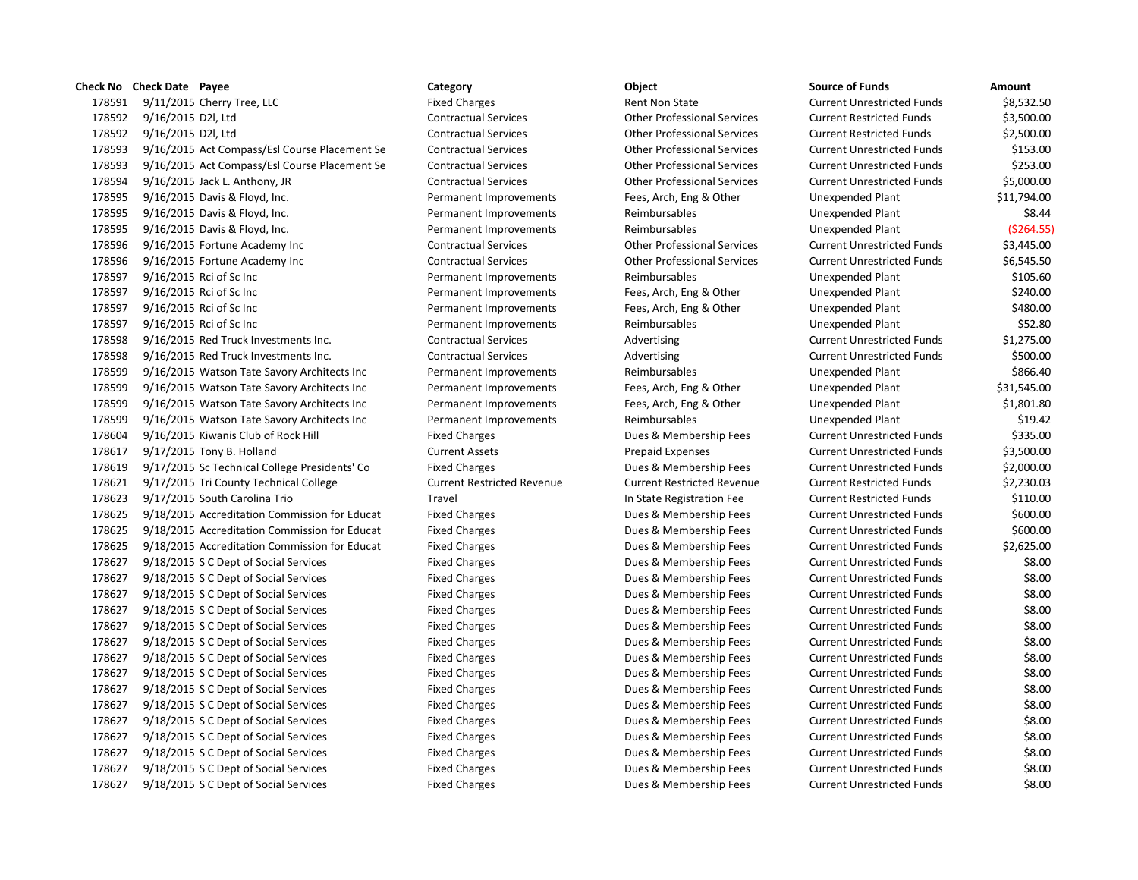# **Check No Check Date Payee Category Category Category Object Check No Check Date Amount** 178591 9/11/2015 Cherry Tree, LLC **Fixed Charges Fixed Charges** Rent Non State Current Unrestricted Funds \$8,532.50 9/16/2015 D2l, Ltd Contractual Services Other Professional Services Current Restricted Funds \$3,500.00 9/16/2015 D2l, Ltd Contractual Services Other Professional Services Current Restricted Funds \$2,500.00 9/16/2015 Act Compass/Esl Course Placement Se Contractual Services Other Professional Services Current Unrestricted Funds \$153.00 9/16/2015 Act Compass/Esl Course Placement Se Contractual Services Other Professional Services Current Unrestricted Funds \$253.00 9/16/2015 Jack L. Anthony, JR Contractual Services Other Professional Services Current Unrestricted Funds \$5,000.00 9/16/2015 Davis & Floyd, Inc. Permanent Improvements Fees, Arch, Eng & Other Unexpended Plant \$11,794.00 9/16/2015 Davis & Floyd, Inc. Permanent Improvements Reimbursables Unexpended Plant \$8.44 9/16/2015 Davis & Floyd, Inc. Permanent Improvements Reimbursables Unexpended Plant (\$264.55) 9/16/2015 Fortune Academy Inc Contractual Services Other Professional Services Current Unrestricted Funds \$3,445.00 9/16/2015 Fortune Academy Inc Contractual Services Other Professional Services Current Unrestricted Funds \$6,545.50 9/16/2015 Rci of Sc Inc Permanent Improvements Reimbursables Unexpended Plant \$105.60 9/16/2015 Rci of Sc Inc Permanent Improvements Fees, Arch, Eng & Other Unexpended Plant \$240.00 9/16/2015 Rci of Sc Inc Permanent Improvements Fees, Arch, Eng & Other Unexpended Plant \$480.00 9/16/2015 Rci of Sc Inc Permanent Improvements Reimbursables Unexpended Plant \$52.80 9/16/2015 Red Truck Investments Inc. Contractual Services Advertising Current Unrestricted Funds \$1,275.00 9/16/2015 Red Truck Investments Inc. Contractual Services Advertising Current Unrestricted Funds \$500.00 9/16/2015 Watson Tate Savory Architects Inc Permanent Improvements Reimbursables Unexpended Plant \$866.40 9/16/2015 Watson Tate Savory Architects Inc Permanent Improvements Fees, Arch, Eng & Other Unexpended Plant \$31,545.00 9/16/2015 Watson Tate Savory Architects Inc Permanent Improvements Fees, Arch, Eng & Other Unexpended Plant \$1,801.80 9/16/2015 Watson Tate Savory Architects Inc Permanent Improvements Reimbursables Unexpended Plant \$19.42 9/16/2015 Kiwanis Club of Rock Hill Fixed Charges Dues & Membership Fees Current Unrestricted Funds \$335.00 9/17/2015 Tony B. Holland Current Assets Prepaid Expenses Current Unrestricted Funds \$3,500.00 9/17/2015 Sc Technical College Presidents' Co Fixed Charges Dues & Membership Fees Current Unrestricted Funds \$2,000.00 9/17/2015 Tri County Technical College Current Restricted Revenue Current Restricted Revenue Current Restricted Funds \$2,230.03 9/17/2015 South Carolina Trio Travel In State Registration Fee Current Restricted Funds \$110.00 9/18/2015 Accreditation Commission for Educat Fixed Charges Dues & Membership Fees Current Unrestricted Funds \$600.00 9/18/2015 Accreditation Commission for Educat Fixed Charges Dues & Membership Fees Current Unrestricted Funds \$600.00 9/18/2015 Accreditation Commission for Educat Fixed Charges Dues & Membership Fees Current Unrestricted Funds \$2,625.00 9/18/2015 S C Dept of Social Services Fixed Charges Dues & Membership Fees Current Unrestricted Funds \$8.00 9/18/2015 S C Dept of Social Services Fixed Charges Dues & Membership Fees Current Unrestricted Funds \$8.00 9/18/2015 S C Dept of Social Services Fixed Charges Dues & Membership Fees Current Unrestricted Funds \$8.00 9/18/2015 S C Dept of Social Services Fixed Charges Dues & Membership Fees Current Unrestricted Funds \$8.00 9/18/2015 S C Dept of Social Services Fixed Charges Dues & Membership Fees Current Unrestricted Funds \$8.00 9/18/2015 S C Dept of Social Services Fixed Charges Dues & Membership Fees Current Unrestricted Funds \$8.00 9/18/2015 S C Dept of Social Services Fixed Charges Dues & Membership Fees Current Unrestricted Funds \$8.00 9/18/2015 S C Dept of Social Services Fixed Charges Dues & Membership Fees Current Unrestricted Funds \$8.00 9/18/2015 S C Dept of Social Services Fixed Charges Dues & Membership Fees Current Unrestricted Funds \$8.00 9/18/2015 S C Dept of Social Services Fixed Charges Dues & Membership Fees Current Unrestricted Funds \$8.00 9/18/2015 S C Dept of Social Services Fixed Charges Dues & Membership Fees Current Unrestricted Funds \$8.00 9/18/2015 S C Dept of Social Services Fixed Charges Dues & Membership Fees Current Unrestricted Funds \$8.00 9/18/2015 S C Dept of Social Services Fixed Charges Dues & Membership Fees Current Unrestricted Funds \$8.00 9/18/2015 S C Dept of Social Services Fixed Charges Dues & Membership Fees Current Unrestricted Funds \$8.00 9/18/2015 S C Dept of Social Services Fixed Charges Dues & Membership Fees Current Unrestricted Funds \$8.00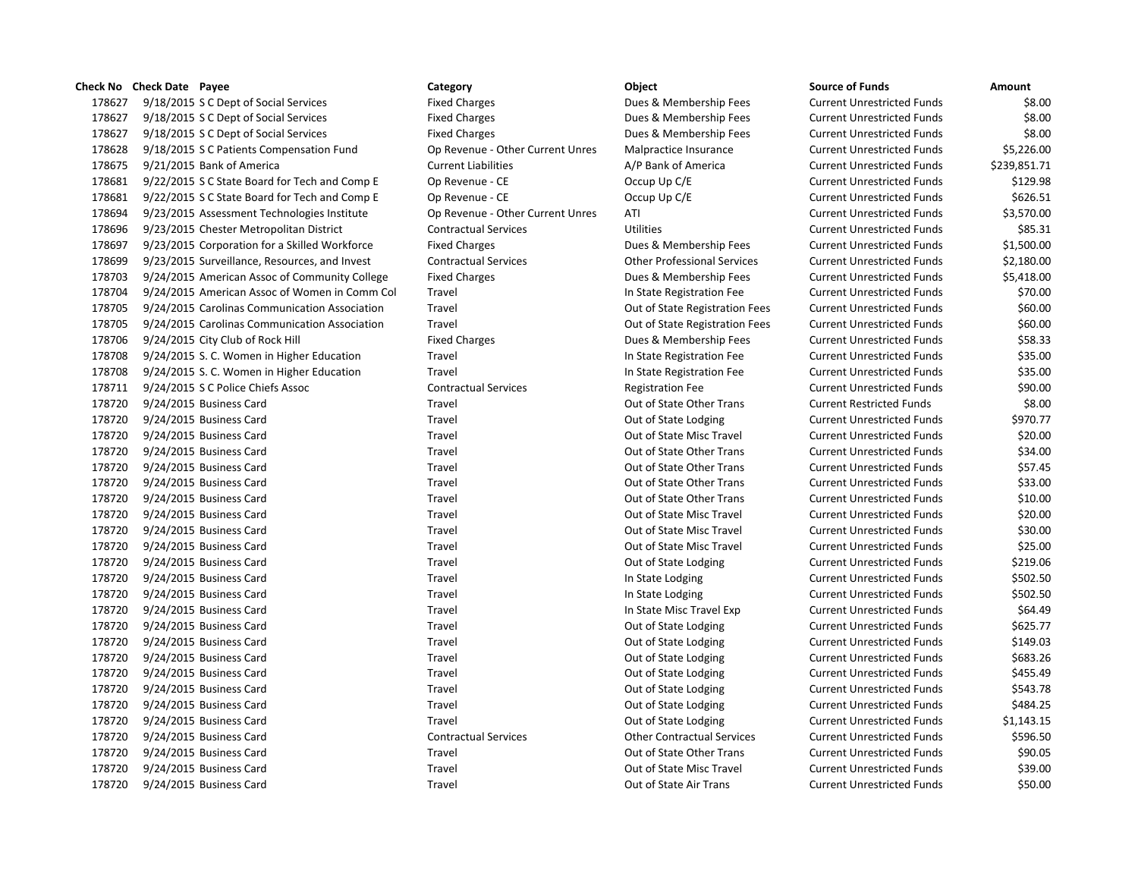9/18/2015 S C Dept of Social Services Fixed Charges Dues & Membership Fees Current Unrestricted Funds \$8.00 9/18/2015 S C Dept of Social Services Fixed Charges Dues & Membership Fees Current Unrestricted Funds \$8.00 9/18/2015 S C Dept of Social Services Fixed Charges Dues & Membership Fees Current Unrestricted Funds \$8.00 9/18/2015 S C Patients Compensation Fund Op Revenue - Other Current Unres Malpractice Insurance Current Unrestricted Funds \$5,226.00 9/21/2015 Bank of America Current Liabilities A/P Bank of America Current Unrestricted Funds \$239,851.71 9/22/2015 S C State Board for Tech and Comp E Op Revenue - CE Occup Up C/E Current Unrestricted Funds \$129.98 178681 9/22/2015 S C State Board for Tech and Comp E Op Revenue - CE Occup Up C/E Current Unrestricted Funds \$626.51 9/23/2015 Assessment Technologies Institute Op Revenue - Other Current Unres ATI Current Unrestricted Funds \$3,570.00 9/23/2015 Chester Metropolitan District Contractual Services Utilities Current Unrestricted Funds \$85.31 9/23/2015 Corporation for a Skilled Workforce Fixed Charges Dues & Membership Fees Current Unrestricted Funds \$1,500.00 9/23/2015 Surveillance, Resources, and Invest Contractual Services Other Professional Services Current Unrestricted Funds \$2,180.00 9/24/2015 American Assoc of Community College Fixed Charges Dues & Membership Fees Current Unrestricted Funds \$5,418.00 9/24/2015 American Assoc of Women in Comm Col Travel In State Registration Fee Current Unrestricted Funds \$70.00 9/24/2015 Carolinas Communication Association Travel Out of State Registration Fees Current Unrestricted Funds \$60.00 9/24/2015 Carolinas Communication Association Travel Out of State Registration Fees Current Unrestricted Funds \$60.00 9/24/2015 City Club of Rock Hill Fixed Charges Dues & Membership Fees Current Unrestricted Funds \$58.33 9/24/2015 S. C. Women in Higher Education Travel In State Registration Fee Current Unrestricted Funds \$35.00 9/24/2015 S. C. Women in Higher Education Travel In State Registration Fee Current Unrestricted Funds \$35.00 9/24/2015 S C Police Chiefs Assoc Contractual Services Registration Fee Current Unrestricted Funds \$90.00 9/24/2015 Business Card Travel Out of State Other Trans Current Restricted Funds \$8.00 178720 9/24/2015 Business Card Travel Travel Travel Cut of State Lodging Current Unrestricted Funds \$970.77 9/24/2015 Business Card Travel Out of State Misc Travel Current Unrestricted Funds \$20.00 9/24/2015 Business Card Travel Out of State Other Trans Current Unrestricted Funds \$34.00 9/24/2015 Business Card Travel Out of State Other Trans Current Unrestricted Funds \$57.45 9/24/2015 Business Card Travel Out of State Other Trans Current Unrestricted Funds \$33.00 9/24/2015 Business Card Travel Out of State Other Trans Current Unrestricted Funds \$10.00 9/24/2015 Business Card Travel Out of State Misc Travel Current Unrestricted Funds \$20.00 9/24/2015 Business Card Travel Out of State Misc Travel Current Unrestricted Funds \$30.00 9/24/2015 Business Card Travel Out of State Misc Travel Current Unrestricted Funds \$25.00 178720 9/24/2015 Business Card Travel Travel Travel Current Out of State Lodging Current Unrestricted Funds \$219.06 9/24/2015 Business Card Travel In State Lodging Current Unrestricted Funds \$502.50 178720 9/24/2015 Business Card Travel Travel Travel Current Unrestricted Funds \$502.50 178720 9/24/2015 Business Card Travel Travel Travel Current Unrestricted Funds \$64.49 9/24/2015 Business Card Travel Out of State Lodging Current Unrestricted Funds \$625.77 178720 9/24/2015 Business Card Travel Travel Travel Cut of State Lodging Current Unrestricted Funds \$149.03 178720 9/24/2015 Business Card Travel Travel Travel Cut of State Lodging Current Unrestricted Funds \$683.26 178720 9/24/2015 Business Card Travel Travel Travel Current Out of State Lodging Current Unrestricted Funds \$455.49 9/24/2015 Business Card Travel Out of State Lodging Current Unrestricted Funds \$543.78 178720 9/24/2015 Business Card Travel Travel Travel Cut of State Lodging Current Unrestricted Funds \$484.25 9/24/2015 Business Card Travel Out of State Lodging Current Unrestricted Funds \$1,143.15 9/24/2015 Business Card Contractual Services Other Contractual Services Current Unrestricted Funds \$596.50 9/24/2015 Business Card Travel Out of State Other Trans Current Unrestricted Funds \$90.05 9/24/2015 Business Card Travel Out of State Misc Travel Current Unrestricted Funds \$39.00 9/24/2015 Business Card Travel Out of State Air Trans Current Unrestricted Funds \$50.00

**Check No Check Date Payee Category Category Category Object Check No Check Date Amount**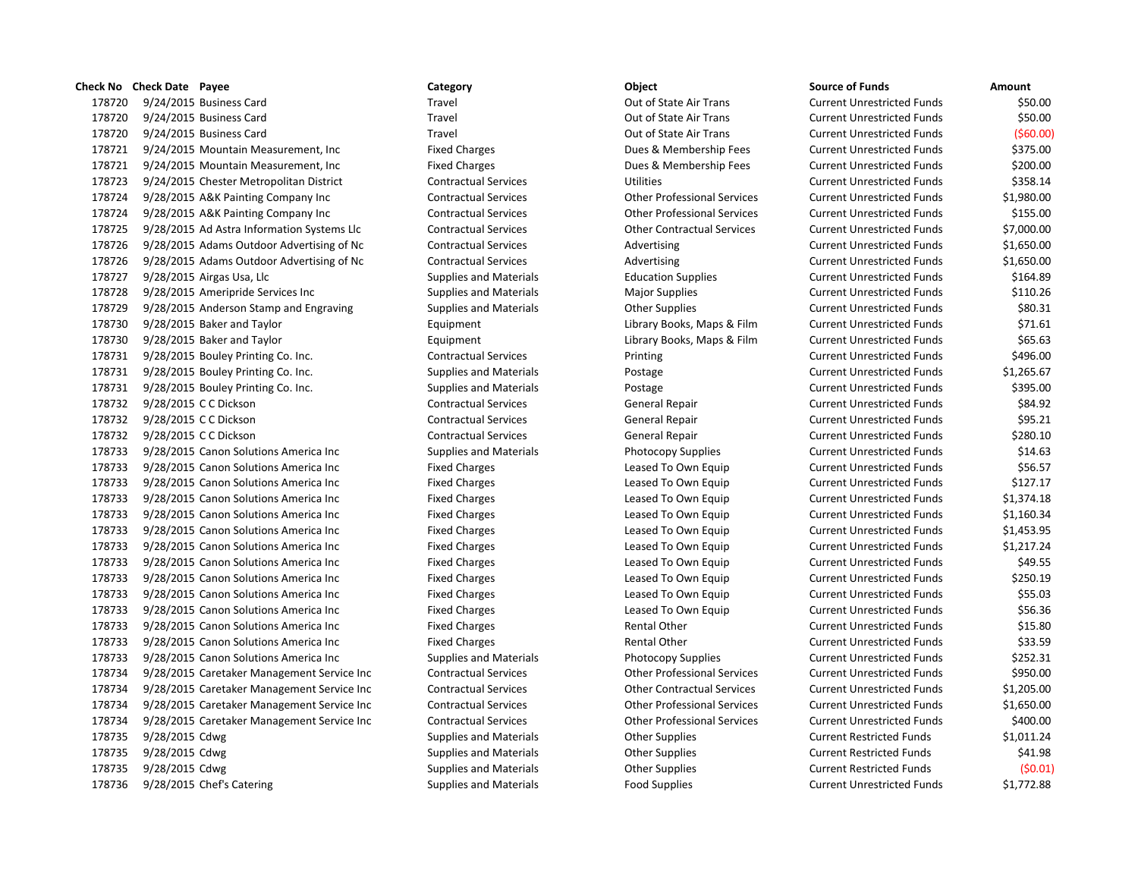# 178720 9/24/2015 Business Card Travel Out of State Air Trans Current Unrestricted Funds \$50.00 178720 9/24/2015 Business Card Travel Out of State Air Trans Current Unrestricted Funds \$50.00 178720 9/24/2015 Business Card Travel Out of State Air Trans Current Unrestricted Funds (\$60.00) 178721 9/24/2015 Mountain Measurement, Inc Fixed Charges Fixed Charges Dues & Membership Fees Current Unrestricted Funds \$375.00 178721 9/24/2015 Mountain Measurement, Inc Fixed Charges Dues & Membership Fees Current Unrestricted Funds \$200.00 178723 9/24/2015 Chester Metropolitan District Contractual Services Utilities Current Unrestricted Funds \$358.14 178724 9/28/2015 A&K Painting Company Inc Contractual Services Other Professional Services Current Unrestricted Funds \$1,980.00 178724 9/28/2015 A&K Painting Company Inc Contractual Services Other Professional Services Current Unrestricted Funds \$155.00 178725 9/28/2015 Ad Astra Information Systems Llc Contractual Services Other Contractual Services Current Unrestricted Funds \$7,000.00 178726 9/28/2015 Adams Outdoor Advertising of Nc Contractual Services Advertising Current Unrestricted Funds \$1,650.00 178726 9/28/2015 Adams Outdoor Advertising of Nc Contractual Services Advertising Current Unrestricted Funds \$1,650.00 178727 9/28/2015 Airgas Usa, Llc Supplies and Materials Education Supplies Current Unrestricted Funds \$164.89 178728 9/28/2015 Ameripride Services Inc Supplies and Materials Major Supplies Magior Supplies Current Unrestricted Funds \$110.26 178729 9/28/2015 Anderson Stamp and Engraving Supplies and Materials Other Supplies Current Unrestricted Funds \$80.31 178730 9/28/2015 Baker and Taylor Equipment Library Books, Maps & Film Current Unrestricted Funds \$71.61 178730 9/28/2015 Baker and Taylor Equipment Library Books, Maps & Film Current Unrestricted Funds \$65.63 178731 9/28/2015 Bouley Printing Co. Inc. Contractual Services Printing Current Unrestricted Funds \$496.00 178731 9/28/2015 Bouley Printing Co. Inc. Supplies and Materials Postage Current Unrestricted Funds \$1,265.67 178731 9/28/2015 Bouley Printing Co. Inc. Supplies and Materials Postage Current Unrestricted Funds \$395.00 178732 9/28/2015 C C Dickson Contractual Services General Repair Current Unrestricted Funds \$84.92 178732 9/28/2015 C C Dickson Contractual Services General Repair Current Unrestricted Funds \$95.21 178732 9/28/2015 C C Dickson Contractual Services General Repair Current Unrestricted Funds \$280.10 178733 9/28/2015 Canon Solutions America Inc Supplies and Materials Photocopy Supplies Current Unrestricted Funds \$14.63 178733 9/28/2015 Canon Solutions America Inc Fixed Charges Leased To Own Equip Current Unrestricted Funds \$56.57 178733 9/28/2015 Canon Solutions America Inc Fixed Charges Leased To Own Equip Current Unrestricted Funds \$127.17 178733 9/28/2015 Canon Solutions America Inc Fixed Charges Leased To Own Equip Current Unrestricted Funds \$1,374.18 178733 9/28/2015 Canon Solutions America Inc Fixed Charges Leased To Own Equip Current Unrestricted Funds \$1,160.34 178733 9/28/2015 Canon Solutions America Inc Fixed Charges Leased To Own Equip Current Unrestricted Funds \$1,453.95 178733 9/28/2015 Canon Solutions America Inc Fixed Charges Leased To Own Equip Current Unrestricted Funds \$1,217.24 178733 9/28/2015 Canon Solutions America Inc Fixed Charges Leased To Own Equip Current Unrestricted Funds \$49.55 178733 9/28/2015 Canon Solutions America Inc Fixed Charges Leased To Own Equip Current Unrestricted Funds \$250.19 178733 9/28/2015 Canon Solutions America Inc Fixed Charges Leased To Own Equip Current Unrestricted Funds \$55.03 178733 9/28/2015 Canon Solutions America Inc Fixed Charges Leased To Own Equip Current Unrestricted Funds \$56.36 178733 9/28/2015 Canon Solutions America Inc Fixed Charges Fixed Charges Rental Other Current Unrestricted Funds \$15.80 178733 9/28/2015 Canon Solutions America Inc Fixed Charges Fixed Charges Rental Other Current Unrestricted Funds \$33.59 178733 9/28/2015 Canon Solutions America Inc Supplies and Materials Photocopy Supplies Current Unrestricted Funds \$252.31 178734 9/28/2015 Caretaker Management Service Inc Contractual Services Other Professional Services Current Unrestricted Funds \$950.00 178734 9/28/2015 Caretaker Management Service Inc Contractual Services Other Contractual Services Current Unrestricted Funds \$1,205.00 178734 9/28/2015 Caretaker Management Service Inc Contractual Services Other Professional Services Current Unrestricted Funds \$1,650.00 178734 9/28/2015 Caretaker Management Service Inc Contractual Services Other Professional Services Current Unrestricted Funds \$400.00 178735 9/28/2015 Cdwg Supplies and Materials Other Supplies Current Restricted Funds \$1,011.24 178735 9/28/2015 Cdwg Supplies and Materials Other Supplies Current Restricted Funds \$41.98 178735 9/28/2015 Cdwg Supplies and Materials Other Supplies Current Restricted Funds (\$0.01) 178736 9/28/2015 Chef's Catering The Supplies and Materials Food Supplies Current Unrestricted Funds \$1,772.88

**Check No Check Date Payee Category Category Category Object Check No Check Date Amount**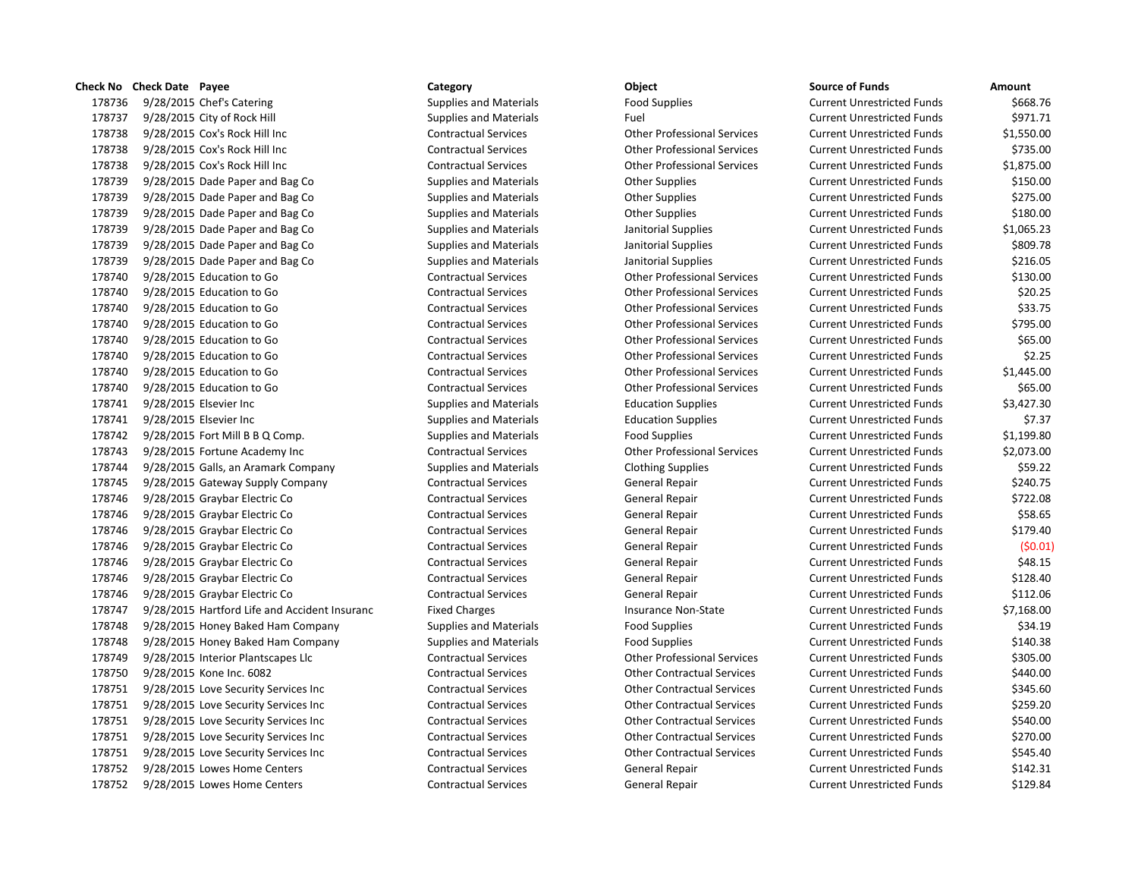|        | <b>SHELAINU CHELADALE FAYEE</b>               | Carcgory                      | υνιτι                              | טעוועכ טו <b>רעווע</b> כ          | AIIIvuiit  |
|--------|-----------------------------------------------|-------------------------------|------------------------------------|-----------------------------------|------------|
| 178736 | 9/28/2015 Chef's Catering                     | <b>Supplies and Materials</b> | <b>Food Supplies</b>               | <b>Current Unrestricted Funds</b> | \$668.76   |
| 178737 | 9/28/2015 City of Rock Hill                   | <b>Supplies and Materials</b> | Fuel                               | <b>Current Unrestricted Funds</b> | \$971.71   |
| 178738 | 9/28/2015 Cox's Rock Hill Inc                 | <b>Contractual Services</b>   | <b>Other Professional Services</b> | <b>Current Unrestricted Funds</b> | \$1,550.00 |
| 178738 | 9/28/2015 Cox's Rock Hill Inc                 | <b>Contractual Services</b>   | <b>Other Professional Services</b> | <b>Current Unrestricted Funds</b> | \$735.00   |
| 178738 | 9/28/2015 Cox's Rock Hill Inc                 | <b>Contractual Services</b>   | <b>Other Professional Services</b> | <b>Current Unrestricted Funds</b> | \$1,875.00 |
| 178739 | 9/28/2015 Dade Paper and Bag Co               | <b>Supplies and Materials</b> | <b>Other Supplies</b>              | <b>Current Unrestricted Funds</b> | \$150.00   |
| 178739 | 9/28/2015 Dade Paper and Bag Co               | <b>Supplies and Materials</b> | <b>Other Supplies</b>              | <b>Current Unrestricted Funds</b> | \$275.00   |
| 178739 | 9/28/2015 Dade Paper and Bag Co               | Supplies and Materials        | <b>Other Supplies</b>              | <b>Current Unrestricted Funds</b> | \$180.00   |
| 178739 | 9/28/2015 Dade Paper and Bag Co               | <b>Supplies and Materials</b> | Janitorial Supplies                | <b>Current Unrestricted Funds</b> | \$1,065.23 |
| 178739 | 9/28/2015 Dade Paper and Bag Co               | <b>Supplies and Materials</b> | Janitorial Supplies                | <b>Current Unrestricted Funds</b> | \$809.78   |
| 178739 | 9/28/2015 Dade Paper and Bag Co               | <b>Supplies and Materials</b> | Janitorial Supplies                | <b>Current Unrestricted Funds</b> | \$216.05   |
| 178740 | 9/28/2015 Education to Go                     | <b>Contractual Services</b>   | <b>Other Professional Services</b> | <b>Current Unrestricted Funds</b> | \$130.00   |
| 178740 | 9/28/2015 Education to Go                     | <b>Contractual Services</b>   | <b>Other Professional Services</b> | <b>Current Unrestricted Funds</b> | \$20.25    |
| 178740 | 9/28/2015 Education to Go                     | <b>Contractual Services</b>   | <b>Other Professional Services</b> | <b>Current Unrestricted Funds</b> | \$33.75    |
| 178740 | 9/28/2015 Education to Go                     | <b>Contractual Services</b>   | <b>Other Professional Services</b> | <b>Current Unrestricted Funds</b> | \$795.00   |
| 178740 | 9/28/2015 Education to Go                     | <b>Contractual Services</b>   | <b>Other Professional Services</b> | <b>Current Unrestricted Funds</b> | \$65.00    |
| 178740 | 9/28/2015 Education to Go                     | <b>Contractual Services</b>   | <b>Other Professional Services</b> | <b>Current Unrestricted Funds</b> | \$2.25     |
| 178740 | 9/28/2015 Education to Go                     | <b>Contractual Services</b>   | <b>Other Professional Services</b> | <b>Current Unrestricted Funds</b> | \$1,445.00 |
| 178740 | 9/28/2015 Education to Go                     | <b>Contractual Services</b>   | <b>Other Professional Services</b> | <b>Current Unrestricted Funds</b> | \$65.00    |
| 178741 | 9/28/2015 Elsevier Inc                        | <b>Supplies and Materials</b> | <b>Education Supplies</b>          | <b>Current Unrestricted Funds</b> | \$3,427.30 |
| 178741 | 9/28/2015 Elsevier Inc                        | <b>Supplies and Materials</b> | <b>Education Supplies</b>          | <b>Current Unrestricted Funds</b> | \$7.37     |
| 178742 | $9/28/2015$ Fort Mill B B Q Comp.             | <b>Supplies and Materials</b> | <b>Food Supplies</b>               | <b>Current Unrestricted Funds</b> | \$1,199.80 |
| 178743 | 9/28/2015 Fortune Academy Inc                 | <b>Contractual Services</b>   | <b>Other Professional Services</b> | <b>Current Unrestricted Funds</b> | \$2,073.00 |
| 178744 | 9/28/2015 Galls, an Aramark Company           | Supplies and Materials        | <b>Clothing Supplies</b>           | <b>Current Unrestricted Funds</b> | \$59.22    |
| 178745 | 9/28/2015 Gateway Supply Company              | <b>Contractual Services</b>   | <b>General Repair</b>              | <b>Current Unrestricted Funds</b> | \$240.75   |
| 178746 | 9/28/2015 Graybar Electric Co                 | <b>Contractual Services</b>   | <b>General Repair</b>              | <b>Current Unrestricted Funds</b> | \$722.08   |
| 178746 | 9/28/2015 Graybar Electric Co                 | <b>Contractual Services</b>   | General Repair                     | <b>Current Unrestricted Funds</b> | \$58.65    |
| 178746 | 9/28/2015 Graybar Electric Co                 | <b>Contractual Services</b>   | <b>General Repair</b>              | <b>Current Unrestricted Funds</b> | \$179.40   |
| 178746 | 9/28/2015 Graybar Electric Co                 | <b>Contractual Services</b>   | <b>General Repair</b>              | <b>Current Unrestricted Funds</b> | (50.01)    |
| 178746 | 9/28/2015 Graybar Electric Co                 | <b>Contractual Services</b>   | <b>General Repair</b>              | <b>Current Unrestricted Funds</b> | \$48.15    |
| 178746 | 9/28/2015 Graybar Electric Co                 | <b>Contractual Services</b>   | <b>General Repair</b>              | <b>Current Unrestricted Funds</b> | \$128.40   |
| 178746 | 9/28/2015 Graybar Electric Co                 | <b>Contractual Services</b>   | <b>General Repair</b>              | <b>Current Unrestricted Funds</b> | \$112.06   |
| 178747 | 9/28/2015 Hartford Life and Accident Insuranc | <b>Fixed Charges</b>          | Insurance Non-State                | <b>Current Unrestricted Funds</b> | \$7,168.00 |
| 178748 | 9/28/2015 Honey Baked Ham Company             | <b>Supplies and Materials</b> | <b>Food Supplies</b>               | <b>Current Unrestricted Funds</b> | \$34.19    |
| 178748 | 9/28/2015 Honey Baked Ham Company             | <b>Supplies and Materials</b> | <b>Food Supplies</b>               | <b>Current Unrestricted Funds</b> | \$140.38   |
| 178749 | 9/28/2015 Interior Plantscapes Llc            | <b>Contractual Services</b>   | <b>Other Professional Services</b> | <b>Current Unrestricted Funds</b> | \$305.00   |
| 178750 | 9/28/2015 Kone Inc. 6082                      | <b>Contractual Services</b>   | <b>Other Contractual Services</b>  | <b>Current Unrestricted Funds</b> | \$440.00   |
| 178751 | 9/28/2015 Love Security Services Inc          | <b>Contractual Services</b>   | <b>Other Contractual Services</b>  | <b>Current Unrestricted Funds</b> | \$345.60   |
| 178751 | 9/28/2015 Love Security Services Inc          | <b>Contractual Services</b>   | <b>Other Contractual Services</b>  | <b>Current Unrestricted Funds</b> | \$259.20   |
| 178751 | 9/28/2015 Love Security Services Inc          | <b>Contractual Services</b>   | <b>Other Contractual Services</b>  | <b>Current Unrestricted Funds</b> | \$540.00   |
| 178751 | 9/28/2015 Love Security Services Inc          | <b>Contractual Services</b>   | <b>Other Contractual Services</b>  | <b>Current Unrestricted Funds</b> | \$270.00   |
| 178751 | 9/28/2015 Love Security Services Inc          | <b>Contractual Services</b>   | <b>Other Contractual Services</b>  | <b>Current Unrestricted Funds</b> | \$545.40   |
| 178752 | 9/28/2015 Lowes Home Centers                  | <b>Contractual Services</b>   | <b>General Repair</b>              | <b>Current Unrestricted Funds</b> | \$142.31   |
| 178752 | 9/28/2015 Lowes Home Centers                  | <b>Contractual Services</b>   | <b>General Repair</b>              | <b>Current Unrestricted Funds</b> | \$129.84   |
|        |                                               |                               |                                    |                                   |            |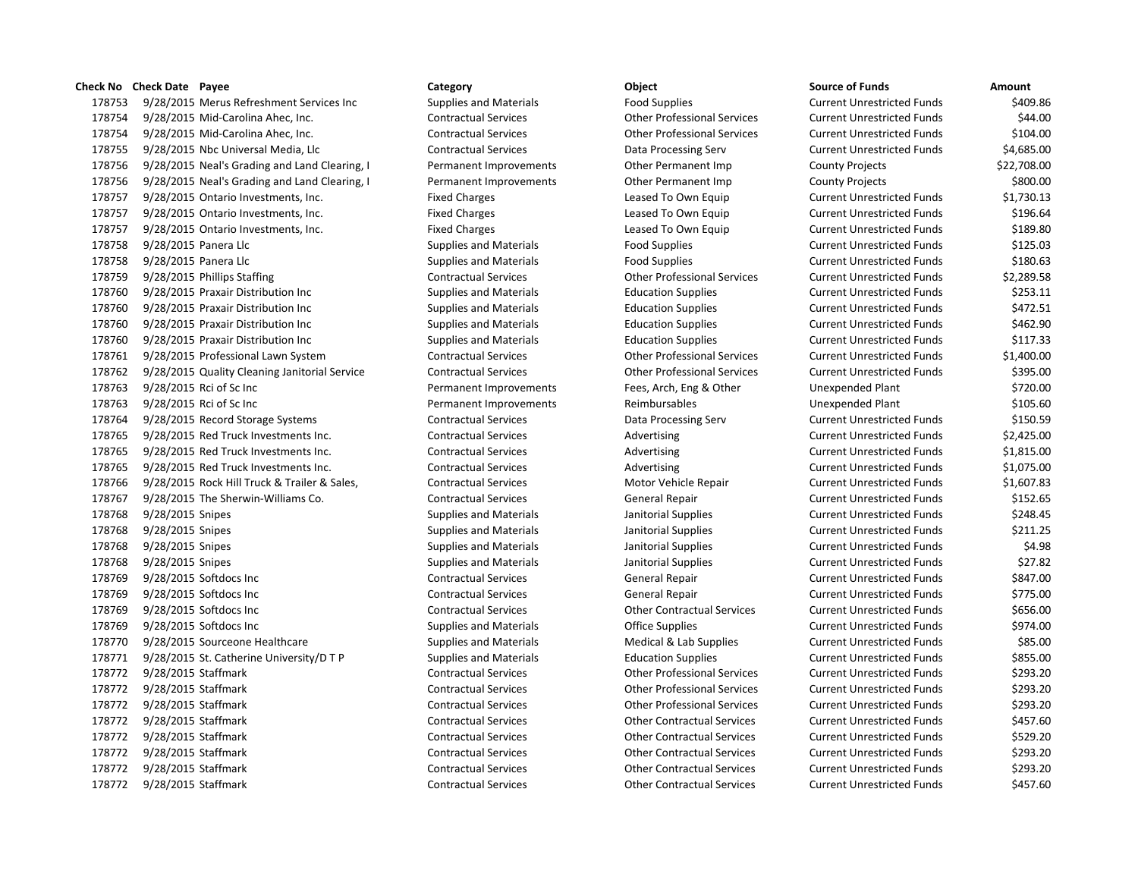## **Check No Check Date Payee Category Category Category Object Check No Check Date Amount**

178753 9/28/2015 Merus Refreshment Services Inc Supplies and Materials Food Supplies Food Supplies Current Unrestricted Funds \$409.86 9/28/2015 Mid-Carolina Ahec, Inc. Contractual Services Other Professional Services Current Unrestricted Funds \$44.00 9/28/2015 Mid-Carolina Ahec, Inc. Contractual Services Other Professional Services Current Unrestricted Funds \$104.00 9/28/2015 Nbc Universal Media, Llc Contractual Services Data Processing Serv Current Unrestricted Funds \$4,685.00 9/28/2015 Neal's Grading and Land Clearing, I Permanent Improvements Other Permanent Imp County Projects \$22,708.00 9/28/2015 Neal's Grading and Land Clearing, I Permanent Improvements Other Permanent Imp County Projects \$800.00 9/28/2015 Ontario Investments, Inc. Fixed Charges Leased To Own Equip Current Unrestricted Funds \$1,730.13 178757 9/28/2015 Ontario Investments, Inc. The State of Fixed Charges Leased To Own Equip Current Unrestricted Funds \$196.64 178757 9/28/2015 Ontario Investments, Inc. The Superior Fixed Charges Leased To Own Equip Current Unrestricted Funds \$189.80 178758 9/28/2015 Panera Llc Supplies and Materials Food Supplies Current Unrestricted Funds \$125.03 178758 9/28/2015 Panera Llc Supplies and Materials Food Supplies Current Unrestricted Funds \$180.63 9/28/2015 Phillips Staffing Contractual Services Other Professional Services Current Unrestricted Funds \$2,289.58 178760 9/28/2015 Praxair Distribution Inc Supplies and Materials Education Supplies Current Unrestricted Funds \$253.11 9/28/2015 Praxair Distribution Inc Supplies and Materials Education Supplies Current Unrestricted Funds \$472.51 178760 9/28/2015 Praxair Distribution Inc Supplies and Materials Education Supplies Current Unrestricted Funds \$462.90 9/28/2015 Praxair Distribution Inc Supplies and Materials Education Supplies Current Unrestricted Funds \$117.33 9/28/2015 Professional Lawn System Contractual Services Other Professional Services Current Unrestricted Funds \$1,400.00 9/28/2015 Quality Cleaning Janitorial Service Contractual Services Other Professional Services Current Unrestricted Funds \$395.00 9/28/2015 Rci of Sc Inc Permanent Improvements Fees, Arch, Eng & Other Unexpended Plant \$720.00 9/28/2015 Rci of Sc Inc Permanent Improvements Reimbursables Unexpended Plant \$105.60 9/28/2015 Record Storage Systems Contractual Services Data Processing Serv Current Unrestricted Funds \$150.59 178765 9/28/2015 Red Truck Investments Inc. Contractual Services Advertising Current Unrestricted Funds \$2,425.00 178765 9/28/2015 Red Truck Investments Inc. Contractual Services Advertising Current Unrestricted Funds \$1,815.00 9/28/2015 Red Truck Investments Inc. Contractual Services Advertising Current Unrestricted Funds \$1,075.00 9/28/2015 Rock Hill Truck & Trailer & Sales, Contractual Services Motor Vehicle Repair Current Unrestricted Funds \$1,607.83 9/28/2015 The Sherwin-Williams Co. Contractual Services General Repair Current Unrestricted Funds \$152.65 178768 9/28/2015 Snipes Supplies Supplies and Materials Janitorial Supplies Current Unrestricted Funds \$248.45 178768 9/28/2015 Snipes Supplies Supplies and Materials Janitorial Supplies Current Unrestricted Funds \$211.25 9/28/2015 Snipes Supplies and Materials Janitorial Supplies Current Unrestricted Funds \$4.98 9/28/2015 Snipes Supplies and Materials Janitorial Supplies Current Unrestricted Funds \$27.82 9/28/2015 Softdocs Inc Contractual Services General Repair Current Unrestricted Funds \$847.00 9/28/2015 Softdocs Inc Contractual Services General Repair Current Unrestricted Funds \$775.00 9/28/2015 Softdocs Inc Contractual Services Other Contractual Services Current Unrestricted Funds \$656.00 178769 9/28/2015 Softdocs Inc Supplies and Materials Current Unrestricted Funds 5974.00 178770 9/28/2015 Sourceone Healthcare Supplies and Materials Medical & Lab Supplies Current Unrestricted Funds \$85.00 178771 9/28/2015 St. Catherine University/D T P Supplies and Materials Education Supplies Current Unrestricted Funds \$855.00 9/28/2015 Staffmark Contractual Services Other Professional Services Current Unrestricted Funds \$293.20 9/28/2015 Staffmark Contractual Services Other Professional Services Current Unrestricted Funds \$293.20 9/28/2015 Staffmark Contractual Services Other Professional Services Current Unrestricted Funds \$293.20 9/28/2015 Staffmark Contractual Services Other Contractual Services Current Unrestricted Funds \$457.60 9/28/2015 Staffmark Contractual Services Other Contractual Services Current Unrestricted Funds \$529.20 9/28/2015 Staffmark Contractual Services Other Contractual Services Current Unrestricted Funds \$293.20 9/28/2015 Staffmark Contractual Services Other Contractual Services Current Unrestricted Funds \$293.20 9/28/2015 Staffmark Contractual Services Other Contractual Services Current Unrestricted Funds \$457.60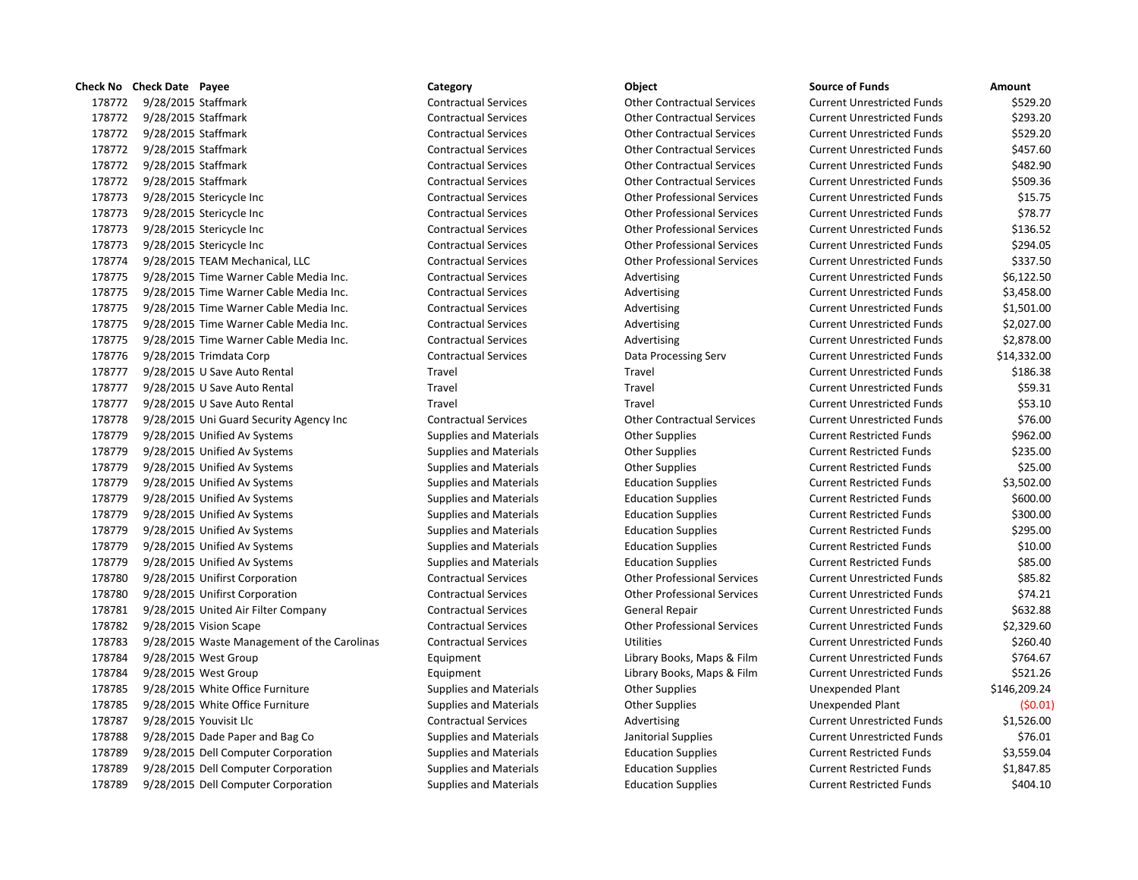|        | Check No Check Date Payee |                                             | Category                      | Object                             | Source of Funds                   | Amount       |
|--------|---------------------------|---------------------------------------------|-------------------------------|------------------------------------|-----------------------------------|--------------|
| 178772 | 9/28/2015 Staffmark       |                                             | <b>Contractual Services</b>   | <b>Other Contractual Services</b>  | <b>Current Unrestricted Funds</b> | \$529.20     |
| 178772 | 9/28/2015 Staffmark       |                                             | <b>Contractual Services</b>   | <b>Other Contractual Services</b>  | <b>Current Unrestricted Funds</b> | \$293.20     |
| 178772 | 9/28/2015 Staffmark       |                                             | <b>Contractual Services</b>   | <b>Other Contractual Services</b>  | <b>Current Unrestricted Funds</b> | \$529.20     |
| 178772 | 9/28/2015 Staffmark       |                                             | <b>Contractual Services</b>   | <b>Other Contractual Services</b>  | <b>Current Unrestricted Funds</b> | \$457.60     |
| 178772 | 9/28/2015 Staffmark       |                                             | <b>Contractual Services</b>   | <b>Other Contractual Services</b>  | <b>Current Unrestricted Funds</b> | \$482.90     |
| 178772 | 9/28/2015 Staffmark       |                                             | <b>Contractual Services</b>   | <b>Other Contractual Services</b>  | <b>Current Unrestricted Funds</b> | \$509.36     |
| 178773 |                           | 9/28/2015 Stericycle Inc                    | <b>Contractual Services</b>   | <b>Other Professional Services</b> | <b>Current Unrestricted Funds</b> | \$15.75      |
| 178773 |                           | 9/28/2015 Stericycle Inc                    | <b>Contractual Services</b>   | <b>Other Professional Services</b> | <b>Current Unrestricted Funds</b> | \$78.77      |
| 178773 |                           | 9/28/2015 Stericycle Inc                    | <b>Contractual Services</b>   | <b>Other Professional Services</b> | <b>Current Unrestricted Funds</b> | \$136.52     |
| 178773 |                           | 9/28/2015 Stericycle Inc                    | <b>Contractual Services</b>   | <b>Other Professional Services</b> | <b>Current Unrestricted Funds</b> | \$294.05     |
| 178774 |                           | 9/28/2015 TEAM Mechanical, LLC              | <b>Contractual Services</b>   | <b>Other Professional Services</b> | <b>Current Unrestricted Funds</b> | \$337.50     |
| 178775 |                           | 9/28/2015 Time Warner Cable Media Inc.      | <b>Contractual Services</b>   | Advertising                        | <b>Current Unrestricted Funds</b> | \$6,122.50   |
| 178775 |                           | 9/28/2015 Time Warner Cable Media Inc.      | <b>Contractual Services</b>   | Advertising                        | <b>Current Unrestricted Funds</b> | \$3,458.00   |
| 178775 |                           | 9/28/2015 Time Warner Cable Media Inc.      | <b>Contractual Services</b>   | Advertising                        | <b>Current Unrestricted Funds</b> | \$1,501.00   |
| 178775 |                           | 9/28/2015 Time Warner Cable Media Inc.      | <b>Contractual Services</b>   | Advertising                        | <b>Current Unrestricted Funds</b> | \$2,027.00   |
| 178775 |                           | 9/28/2015 Time Warner Cable Media Inc.      | <b>Contractual Services</b>   | Advertising                        | <b>Current Unrestricted Funds</b> | \$2,878.00   |
| 178776 |                           | 9/28/2015 Trimdata Corp                     | <b>Contractual Services</b>   | Data Processing Serv               | <b>Current Unrestricted Funds</b> | \$14,332.00  |
| 178777 |                           | 9/28/2015 U Save Auto Rental                | Travel                        | Travel                             | <b>Current Unrestricted Funds</b> | \$186.38     |
| 178777 |                           | 9/28/2015 U Save Auto Rental                | Travel                        | Travel                             | <b>Current Unrestricted Funds</b> | \$59.31      |
| 178777 |                           | 9/28/2015 U Save Auto Rental                | Travel                        | Travel                             | <b>Current Unrestricted Funds</b> | \$53.10      |
| 178778 |                           | 9/28/2015 Uni Guard Security Agency Inc     | <b>Contractual Services</b>   | <b>Other Contractual Services</b>  | <b>Current Unrestricted Funds</b> | \$76.00      |
| 178779 |                           | 9/28/2015 Unified Av Systems                | <b>Supplies and Materials</b> | <b>Other Supplies</b>              | <b>Current Restricted Funds</b>   | \$962.00     |
| 178779 |                           | 9/28/2015 Unified Av Systems                | <b>Supplies and Materials</b> | <b>Other Supplies</b>              | <b>Current Restricted Funds</b>   | \$235.00     |
| 178779 |                           | 9/28/2015 Unified Av Systems                | <b>Supplies and Materials</b> | <b>Other Supplies</b>              | <b>Current Restricted Funds</b>   | \$25.00      |
| 178779 |                           | 9/28/2015 Unified Av Systems                | <b>Supplies and Materials</b> | <b>Education Supplies</b>          | <b>Current Restricted Funds</b>   | \$3,502.00   |
| 178779 |                           | 9/28/2015 Unified Av Systems                | <b>Supplies and Materials</b> | <b>Education Supplies</b>          | <b>Current Restricted Funds</b>   | \$600.00     |
| 178779 |                           | 9/28/2015 Unified Av Systems                | <b>Supplies and Materials</b> | <b>Education Supplies</b>          | <b>Current Restricted Funds</b>   | \$300.00     |
| 178779 |                           | 9/28/2015 Unified Av Systems                | <b>Supplies and Materials</b> | <b>Education Supplies</b>          | <b>Current Restricted Funds</b>   | \$295.00     |
| 178779 |                           | 9/28/2015 Unified Av Systems                | <b>Supplies and Materials</b> | <b>Education Supplies</b>          | <b>Current Restricted Funds</b>   | \$10.00      |
| 178779 |                           | 9/28/2015 Unified Av Systems                | <b>Supplies and Materials</b> | <b>Education Supplies</b>          | <b>Current Restricted Funds</b>   | \$85.00      |
| 178780 |                           | 9/28/2015 Unifirst Corporation              | <b>Contractual Services</b>   | <b>Other Professional Services</b> | <b>Current Unrestricted Funds</b> | \$85.82      |
| 178780 |                           | 9/28/2015 Unifirst Corporation              | <b>Contractual Services</b>   | <b>Other Professional Services</b> | <b>Current Unrestricted Funds</b> | \$74.21      |
| 178781 |                           | 9/28/2015 United Air Filter Company         | <b>Contractual Services</b>   | General Repair                     | <b>Current Unrestricted Funds</b> | \$632.88     |
| 178782 |                           | 9/28/2015 Vision Scape                      | <b>Contractual Services</b>   | <b>Other Professional Services</b> | <b>Current Unrestricted Funds</b> | \$2,329.60   |
| 178783 |                           | 9/28/2015 Waste Management of the Carolinas | <b>Contractual Services</b>   | <b>Utilities</b>                   | <b>Current Unrestricted Funds</b> | \$260.40     |
| 178784 |                           | 9/28/2015 West Group                        | Equipment                     | Library Books, Maps & Film         | <b>Current Unrestricted Funds</b> | \$764.67     |
| 178784 |                           | 9/28/2015 West Group                        | Equipment                     | Library Books, Maps & Film         | <b>Current Unrestricted Funds</b> | \$521.26     |
| 178785 |                           | 9/28/2015 White Office Furniture            | <b>Supplies and Materials</b> | <b>Other Supplies</b>              | Unexpended Plant                  | \$146,209.24 |
| 178785 |                           | 9/28/2015 White Office Furniture            | <b>Supplies and Materials</b> | <b>Other Supplies</b>              | Unexpended Plant                  | (50.01)      |
| 178787 |                           | 9/28/2015 Youvisit Llc                      | <b>Contractual Services</b>   | Advertising                        | <b>Current Unrestricted Funds</b> | \$1,526.00   |
| 178788 |                           | 9/28/2015 Dade Paper and Bag Co             | <b>Supplies and Materials</b> | Janitorial Supplies                | <b>Current Unrestricted Funds</b> | \$76.01      |
| 178789 |                           | 9/28/2015 Dell Computer Corporation         | <b>Supplies and Materials</b> | <b>Education Supplies</b>          | <b>Current Restricted Funds</b>   | \$3,559.04   |
| 178789 |                           | 9/28/2015 Dell Computer Corporation         | <b>Supplies and Materials</b> | <b>Education Supplies</b>          | <b>Current Restricted Funds</b>   | \$1,847.85   |
| 178789 |                           | 9/28/2015 Dell Computer Corporation         | <b>Supplies and Materials</b> | <b>Education Supplies</b>          | <b>Current Restricted Funds</b>   | \$404.10     |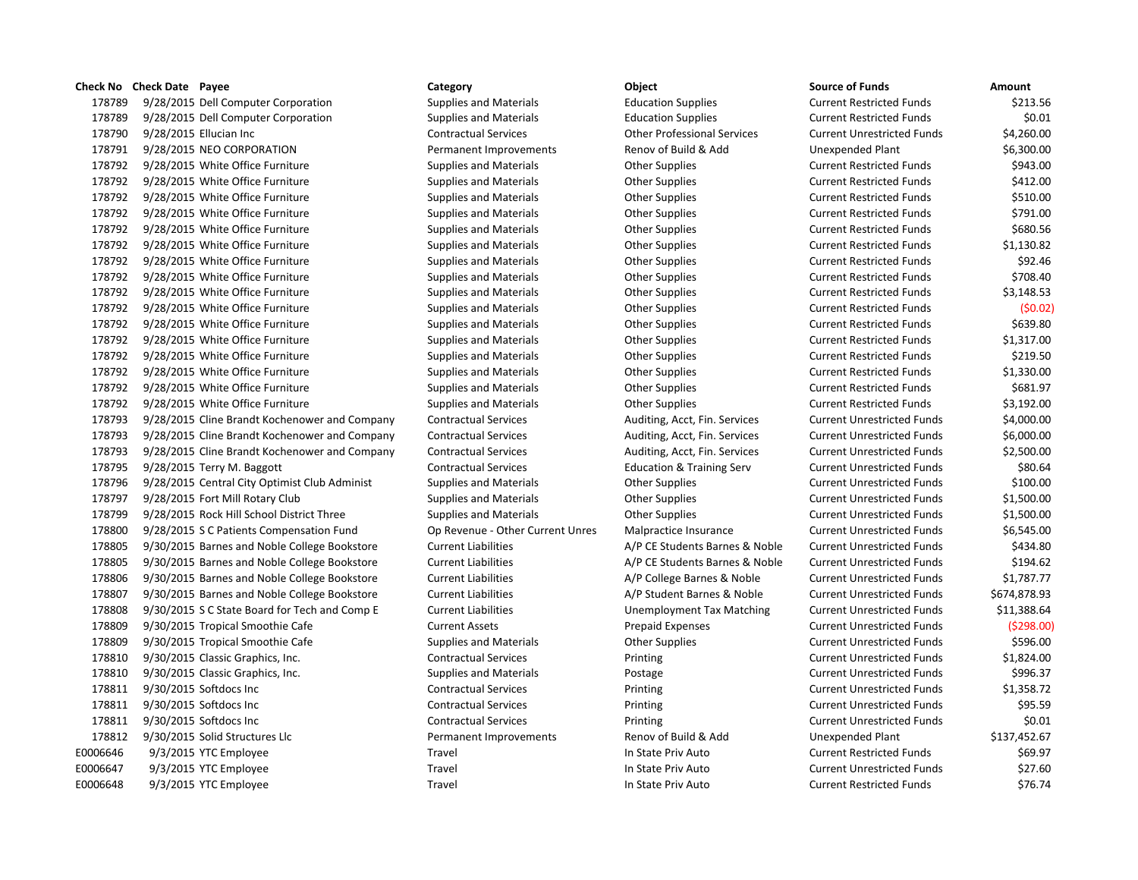## **Check No Check Date Payee Category Category Category Object Check No Check Date Amount**

178789 9/28/2015 Dell Computer Corporation Supplies and Materials Education Supplies Current Restricted Funds \$213.56 178789 9/28/2015 Dell Computer Corporation Supplies and Materials Education Supplies Current Restricted Funds \$0.01 178790 9/28/2015 Ellucian Inc Contractual Services Other Professional Services Current Unrestricted Funds \$4,260.00 178791 9/28/2015 NEO CORPORATION Permanent Improvements Renov of Build & Add Unexpended Plant \$6,300.00 178792 9/28/2015 White Office Furniture Supplies and Materials Current Restricted Funds 5943.00 178792 9/28/2015 White Office Furniture Supplies and Materials Current Restricted Funds (412.00 178792 9/28/2015 White Office Furniture Supplies and Materials Other Supplies Current Restricted Funds \$510.00 178792 9/28/2015 White Office Furniture Supplies and Materials Current Restricted Funds 5791.00 178792 9/28/2015 White Office Furniture Supplies and Materials Current Restricted Funds 5680.56 S680.56 178792 9/28/2015 White Office Furniture Supplies and Materials Other Supplies Current Restricted Funds \$1,130.82 178792 9/28/2015 White Office Furniture Supplies and Materials Other Supplies Current Restricted Funds \$92.46 178792 9/28/2015 White Office Furniture Supplies and Materials Current Restricted Funds 5708.40 178792 9/28/2015 White Office Furniture Supplies and Materials Other Supplies Current Restricted Funds \$3,148.53 178792 9/28/2015 White Office Furniture Supplies and Materials Other Supplies Current Restricted Funds (\$0.02) 178792 9/28/2015 White Office Furniture Supplies and Materials Current Restricted Funds \$639.80 178792 9/28/2015 White Office Furniture Supplies and Materials Current Restricted Funds S1,317.00 178792 9/28/2015 White Office Furniture Supplies and Materials Current Restricted Funds \$219.50 178792 9/28/2015 White Office Furniture Supplies and Materials Other Supplies Current Restricted Funds \$1,330.00 178792 9/28/2015 White Office Furniture Supplies and Materials Current Restricted Funds \$681.97 178792 9/28/2015 White Office Furniture Supplies and Materials Other Supplies Current Restricted Funds \$3,192.00 178793 9/28/2015 Cline Brandt Kochenower and Company Contractual Services Auditing, Acct, Fin. Services Current Unrestricted Funds \$4,000.00 178793 9/28/2015 Cline Brandt Kochenower and Company Contractual Services Auditing, Acct, Fin. Services Current Unrestricted Funds \$6,000.00 178793 9/28/2015 Cline Brandt Kochenower and Company Contractual Services Auditing, Acct, Fin. Services Current Unrestricted Funds \$2,500.00 178795 9/28/2015 Terry M. Baggott Contractual Services Education & Training Serv Current Unrestricted Funds \$80.64 178796 9/28/2015 Central City Optimist Club Administ Supplies and Materials Other Supplies Current Unrestricted Funds \$100.00 178797 9/28/2015 Fort Mill Rotary Club Supplies and Materials Other Supplies Current Unrestricted Funds \$1,500.00 178799 9/28/2015 Rock Hill School District Three Supplies and Materials Other Supplies Current Unrestricted Funds \$1,500.00 178800 9/28/2015 S C Patients Compensation Fund Op Revenue - Other Current Unres Malpractice Insurance Current Unrestricted Funds \$6,545.00 178805 9/30/2015 Barnes and Noble College Bookstore Current Liabilities A/P CE Students Barnes & Noble Current Unrestricted Funds \$434.80 178805 9/30/2015 Barnes and Noble College Bookstore Current Liabilities A/P CE Students Barnes & Noble Current Unrestricted Funds \$194.62 178806 9/30/2015 Barnes and Noble College Bookstore Current Liabilities A/P College Barnes & Noble Current Unrestricted Funds \$1,787.77 178807 9/30/2015 Barnes and Noble College Bookstore Current Liabilities A/P Student Barnes & Noble Current Unrestricted Funds \$674,878.93 178808 9/30/2015 S C State Board for Tech and Comp E Current Liabilities Unemployment Tax Matching Current Unrestricted Funds \$11,388.64 178809 9/30/2015 Tropical Smoothie Cafe Current Assets Prepaid Expenses Current Unrestricted Funds (\$298.00) 178809 9/30/2015 Tropical Smoothie Cafe Supplies and Materials Current Unrestricted Funds \$596.00 178810 9/30/2015 Classic Graphics, Inc. Contractual Services Printing Current Unrestricted Funds \$1,824.00 178810 9/30/2015 Classic Graphics, Inc. The Supplies and Materials Postage Postage Current Unrestricted Funds \$996.37 178811 9/30/2015 Softdocs Inc Contractual Services Printing Current Unrestricted Funds \$1,358.72 178811 9/30/2015 Softdocs Inc Contractual Services Printing Current Unrestricted Funds \$95.59 178811 9/30/2015 Softdocs Inc Contractual Services Printing Current Unrestricted Funds \$0.01 178812 9/30/2015 Solid Structures Llc Permanent Improvements Renov of Build & Add Unexpended Plant \$137,452.67 E0006646 9/3/2015 YTC Employee Travel Travel Travel In State Priv Auto Current Restricted Funds \$69.97 E0006647 9/3/2015 YTC Employee Travel Travel Travel In State Priv Auto Current Unrestricted Funds \$27.60 E0006648 9/3/2015 YTC Employee Travel Travel Travel In State Priv Auto Current Restricted Funds \$76.74